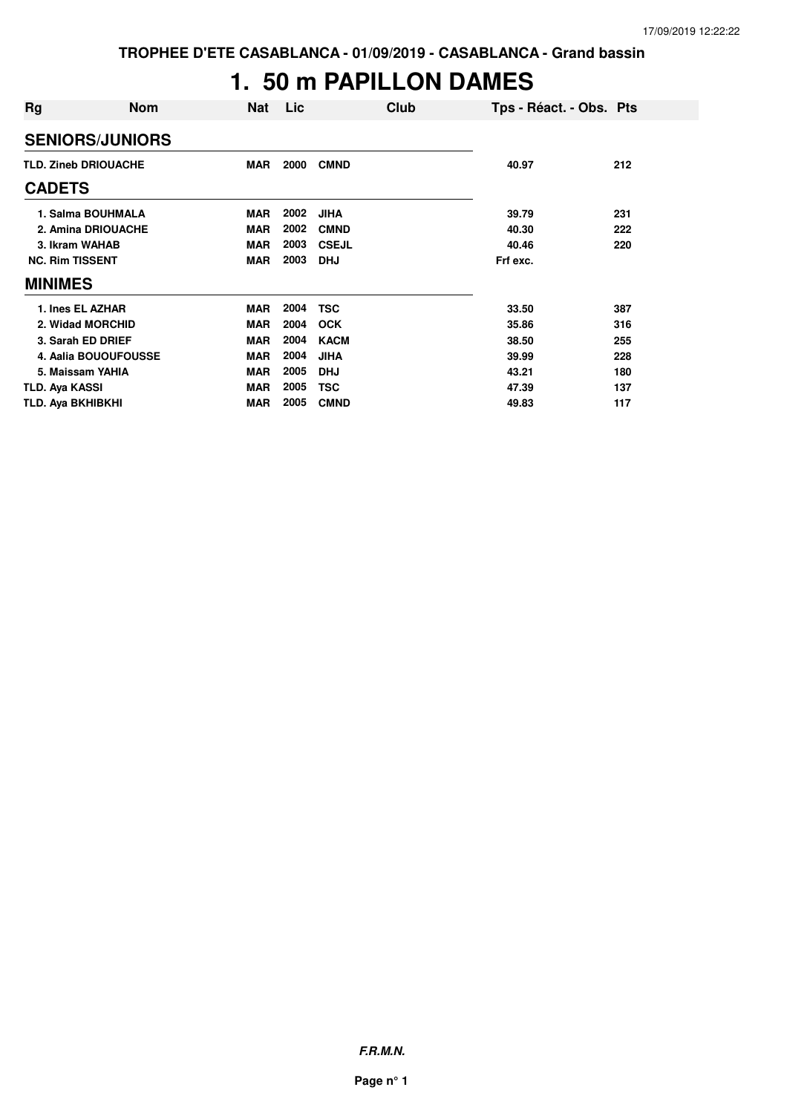# **1. 50 m PAPILLON DAMES**

| Rg                          | <b>Nom</b>             | Nat        | <b>Lic</b> | Club         | Tps - Réact. - Obs. Pts |     |
|-----------------------------|------------------------|------------|------------|--------------|-------------------------|-----|
|                             | <b>SENIORS/JUNIORS</b> |            |            |              |                         |     |
| <b>TLD. Zineb DRIOUACHE</b> |                        | <b>MAR</b> | 2000       | <b>CMND</b>  | 40.97                   | 212 |
| <b>CADETS</b>               |                        |            |            |              |                         |     |
|                             | 1. Salma BOUHMALA      | <b>MAR</b> | 2002       | <b>JIHA</b>  | 39.79                   | 231 |
|                             | 2. Amina DRIOUACHE     | <b>MAR</b> | 2002       | <b>CMND</b>  | 40.30                   | 222 |
| 3. Ikram WAHAB              |                        | <b>MAR</b> | 2003       | <b>CSEJL</b> | 40.46                   | 220 |
| <b>NC. Rim TISSENT</b>      |                        | <b>MAR</b> | 2003       | <b>DHJ</b>   | Frf exc.                |     |
| <b>MINIMES</b>              |                        |            |            |              |                         |     |
| 1. Ines EL AZHAR            |                        | <b>MAR</b> | 2004       | <b>TSC</b>   | 33.50                   | 387 |
| 2. Widad MORCHID            |                        | <b>MAR</b> | 2004       | <b>OCK</b>   | 35.86                   | 316 |
| 3. Sarah ED DRIEF           |                        | <b>MAR</b> | 2004       | <b>KACM</b>  | 38.50                   | 255 |
|                             | 4. Aalia BOUOUFOUSSE   | <b>MAR</b> | 2004       | <b>JIHA</b>  | 39.99                   | 228 |
| 5. Maissam YAHIA            |                        | <b>MAR</b> | 2005       | <b>DHJ</b>   | 43.21                   | 180 |
| TLD. Aya KASSI              |                        | <b>MAR</b> | 2005       | <b>TSC</b>   | 47.39                   | 137 |
| TLD. Aya BKHIBKHI           |                        | <b>MAR</b> | 2005       | <b>CMND</b>  | 49.83                   | 117 |

**F.R.M.N.**

**Page n° 1**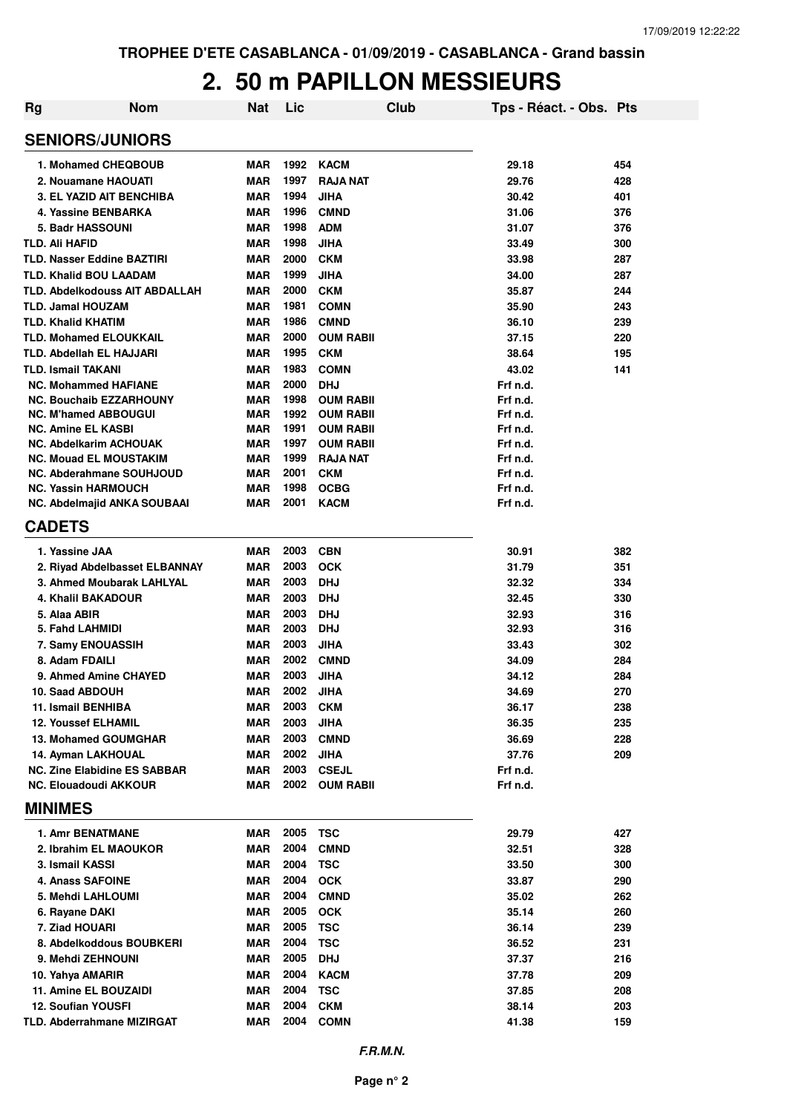#### **2. 50 m PAPILLON MESSIEURS**

| <b>Rg</b> | <b>Nom</b>                                                     | <b>Nat</b>               | Lic          | Club                                | Tps - Réact. - Obs. Pts |            |
|-----------|----------------------------------------------------------------|--------------------------|--------------|-------------------------------------|-------------------------|------------|
|           | <b>SENIORS/JUNIORS</b>                                         |                          |              |                                     |                         |            |
|           | 1. Mohamed CHEQBOUB                                            | <b>MAR</b>               | 1992         | KACM                                | 29.18                   | 454        |
|           | 2. Nouamane HAOUATI                                            | <b>MAR</b>               | 1997         | <b>RAJA NAT</b>                     | 29.76                   | 428        |
|           | <b>3. EL YAZID AIT BENCHIBA</b>                                | <b>MAR</b>               | 1994         | <b>JIHA</b>                         | 30.42                   | 401        |
|           | 4. Yassine BENBARKA                                            | <b>MAR</b>               | 1996         | <b>CMND</b>                         | 31.06                   | 376        |
|           | 5. Badr HASSOUNI                                               | <b>MAR</b>               | 1998         | <b>ADM</b>                          | 31.07                   | 376        |
|           | TLD. Ali HAFID                                                 | <b>MAR</b>               | 1998         | <b>JIHA</b>                         | 33.49                   | 300        |
|           | <b>TLD. Nasser Eddine BAZTIRI</b>                              | MAR                      | 2000         | <b>CKM</b>                          | 33.98                   | 287        |
|           | <b>TLD. Khalid BOU LAADAM</b>                                  | MAR                      | 1999         | <b>JIHA</b>                         | 34.00                   | 287        |
|           | <b>TLD. Abdelkodouss AIT ABDALLAH</b>                          | MAR                      | 2000         | <b>CKM</b>                          | 35.87                   | 244        |
|           | <b>TLD. Jamal HOUZAM</b>                                       | <b>MAR</b>               | 1981         | <b>COMN</b>                         | 35.90                   | 243        |
|           | <b>TLD. Khalid KHATIM</b>                                      | <b>MAR</b>               | 1986         | <b>CMND</b>                         | 36.10                   | 239        |
|           | <b>TLD. Mohamed ELOUKKAIL</b>                                  | <b>MAR</b>               | 2000         | <b>OUM RABII</b>                    | 37.15                   | 220        |
|           | <b>TLD. Abdellah EL HAJJARI</b>                                | <b>MAR</b>               | 1995         | <b>CKM</b>                          | 38.64                   | 195        |
|           | <b>TLD. Ismail TAKANI</b>                                      | <b>MAR</b>               | 1983         | <b>COMN</b>                         | 43.02                   | 141        |
|           | <b>NC. Mohammed HAFIANE</b>                                    | <b>MAR</b>               | 2000         | <b>DHJ</b>                          | Frf n.d.                |            |
|           | <b>NC. Bouchaib EZZARHOUNY</b>                                 | MAR                      | 1998         | <b>OUM RABII</b>                    | Frf n.d.                |            |
|           | <b>NC. M'hamed ABBOUGUI</b>                                    | <b>MAR</b>               | 1992         | <b>OUM RABII</b>                    | Frf n.d.                |            |
|           | <b>NC. Amine EL KASBI</b>                                      | <b>MAR</b>               | 1991         | <b>OUM RABII</b>                    | Frf n.d.                |            |
|           | <b>NC. Abdelkarim ACHOUAK</b><br><b>NC. Mouad EL MOUSTAKIM</b> | <b>MAR</b><br><b>MAR</b> | 1997<br>1999 | <b>OUM RABII</b><br><b>RAJA NAT</b> | Frf n.d.<br>Frf n.d.    |            |
|           | <b>NC. Abderahmane SOUHJOUD</b>                                | MAR                      | 2001         | <b>CKM</b>                          | Frf n.d.                |            |
|           | <b>NC. Yassin HARMOUCH</b>                                     | <b>MAR</b>               | 1998         | <b>OCBG</b>                         | Frf n.d.                |            |
|           | NC. Abdelmajid ANKA SOUBAAI                                    | MAR                      | 2001         | <b>KACM</b>                         | Frf n.d.                |            |
|           | <b>CADETS</b>                                                  |                          |              |                                     |                         |            |
|           | 1. Yassine JAA                                                 | MAR                      | 2003         | <b>CBN</b>                          | 30.91                   | 382        |
|           | 2. Riyad Abdelbasset ELBANNAY                                  | <b>MAR</b>               | 2003         | <b>OCK</b>                          | 31.79                   | 351        |
|           | 3. Ahmed Moubarak LAHLYAL                                      | <b>MAR</b>               | 2003         | <b>DHJ</b>                          | 32.32                   | 334        |
|           | <b>4. Khalil BAKADOUR</b>                                      | <b>MAR</b>               | 2003         | <b>DHJ</b>                          | 32.45                   | 330        |
|           | 5. Alaa ABIR                                                   | <b>MAR</b>               | 2003         | <b>DHJ</b>                          | 32.93                   | 316        |
|           | 5. Fahd LAHMIDI                                                | MAR                      | 2003         | <b>DHJ</b>                          | 32.93                   | 316        |
|           | 7. Samy ENOUASSIH                                              | <b>MAR</b>               | 2003         | <b>JIHA</b>                         | 33.43                   | 302        |
|           | 8. Adam FDAILI                                                 | <b>MAR</b>               | 2002         | <b>CMND</b>                         | 34.09                   | 284        |
|           | 9. Ahmed Amine CHAYED                                          | <b>MAR</b>               | 2003         | <b>JIHA</b>                         | 34.12                   | 284        |
|           | 10. Saad ABDOUH                                                | <b>MAR</b>               | 2002         | JIHA                                | 34.69                   | 270        |
|           | 11. Ismail BENHIBA                                             | MAR                      | 2003         | <b>CKM</b>                          | 36.17                   | 238        |
|           | <b>12. Youssef ELHAMIL</b>                                     | MAR                      | 2003         | <b>JIHA</b>                         | 36.35                   | 235        |
|           | 13. Mohamed GOUMGHAR                                           | MAR                      | 2003         | <b>CMND</b>                         | 36.69                   | 228        |
|           | 14. Ayman LAKHOUAL                                             | MAR                      | 2002         | <b>JIHA</b>                         | 37.76                   | 209        |
|           | <b>NC. Zine Elabidine ES SABBAR</b>                            | MAR                      | 2003         | <b>CSEJL</b>                        | Frf n.d.                |            |
|           | NC. Elouadoudi AKKOUR<br><b>MINIMES</b>                        | MAR                      | 2002         | <b>OUM RABII</b>                    | Frf n.d.                |            |
|           |                                                                |                          |              |                                     |                         |            |
|           | <b>1. Amr BENATMANE</b>                                        | MAR                      | 2005         | TSC                                 | 29.79                   | 427        |
|           | 2. Ibrahim EL MAOUKOR                                          | MAR                      | 2004         | <b>CMND</b>                         | 32.51                   | 328        |
|           | 3. Ismail KASSI                                                | MAR                      | 2004         | <b>TSC</b>                          | 33.50                   | 300        |
|           | 4. Anass SAFOINE                                               | MAR                      | 2004         | <b>OCK</b>                          | 33.87                   | 290        |
|           | 5. Mehdi LAHLOUMI                                              | MAR                      | 2004         | <b>CMND</b>                         | 35.02                   | 262        |
|           | 6. Rayane DAKI                                                 | MAR                      | 2005         | <b>OCK</b>                          | 35.14                   | 260        |
|           | 7. Ziad HOUARI                                                 | MAR                      | 2005         | <b>TSC</b>                          | 36.14                   | 239        |
|           | 8. Abdelkoddous BOUBKERI                                       | MAR<br>MAR               | 2004<br>2005 | <b>TSC</b><br><b>DHJ</b>            | 36.52                   | 231<br>216 |
|           | 9. Mehdi ZEHNOUNI<br>10. Yahya AMARIR                          | MAR                      | 2004         | <b>KACM</b>                         | 37.37<br>37.78          | 209        |
|           | 11. Amine EL BOUZAIDI                                          | MAR                      | 2004         | <b>TSC</b>                          | 37.85                   | 208        |
|           | 12. Soufian YOUSFI                                             | <b>MAR</b>               | 2004         | <b>CKM</b>                          | 38.14                   | 203        |
|           | TLD. Abderrahmane MIZIRGAT                                     | MAR                      | 2004         | <b>COMN</b>                         | 41.38                   | 159        |
|           |                                                                |                          |              |                                     |                         |            |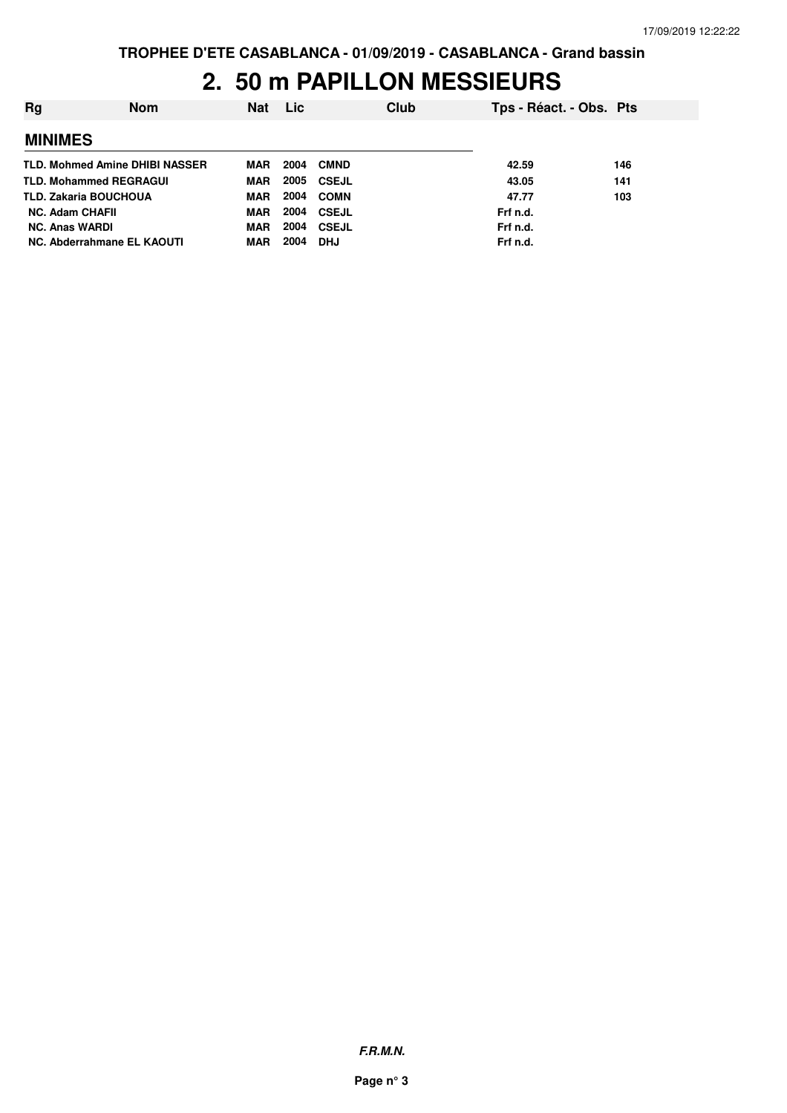#### **2. 50 m PAPILLON MESSIEURS**

| Rg                     | <b>Nom</b>                     | <b>Nat</b> | Lic  | Club              | Tps - Réact. - Obs. Pts |     |
|------------------------|--------------------------------|------------|------|-------------------|-------------------------|-----|
| <b>MINIMES</b>         |                                |            |      |                   |                         |     |
|                        | TLD. Mohmed Amine DHIBI NASSER | MAR        | 2004 | <b>CMND</b>       | 42.59                   | 146 |
|                        | <b>TLD. Mohammed REGRAGUI</b>  | MAR        |      | <b>2005 CSEJL</b> | 43.05                   | 141 |
|                        | <b>TLD. Zakaria BOUCHOUA</b>   | MAR        | 2004 | COMN              | 47.77                   | 103 |
| <b>NC. Adam CHAFII</b> |                                | MAR        | 2004 | CSEJL             | Frf n.d.                |     |
| <b>NC. Anas WARDI</b>  |                                | MAR        | 2004 | CSEJL             | Frf n.d.                |     |
|                        | NC. Abderrahmane EL KAOUTI     | MAR        | 2004 | <b>DHJ</b>        | Frf n.d.                |     |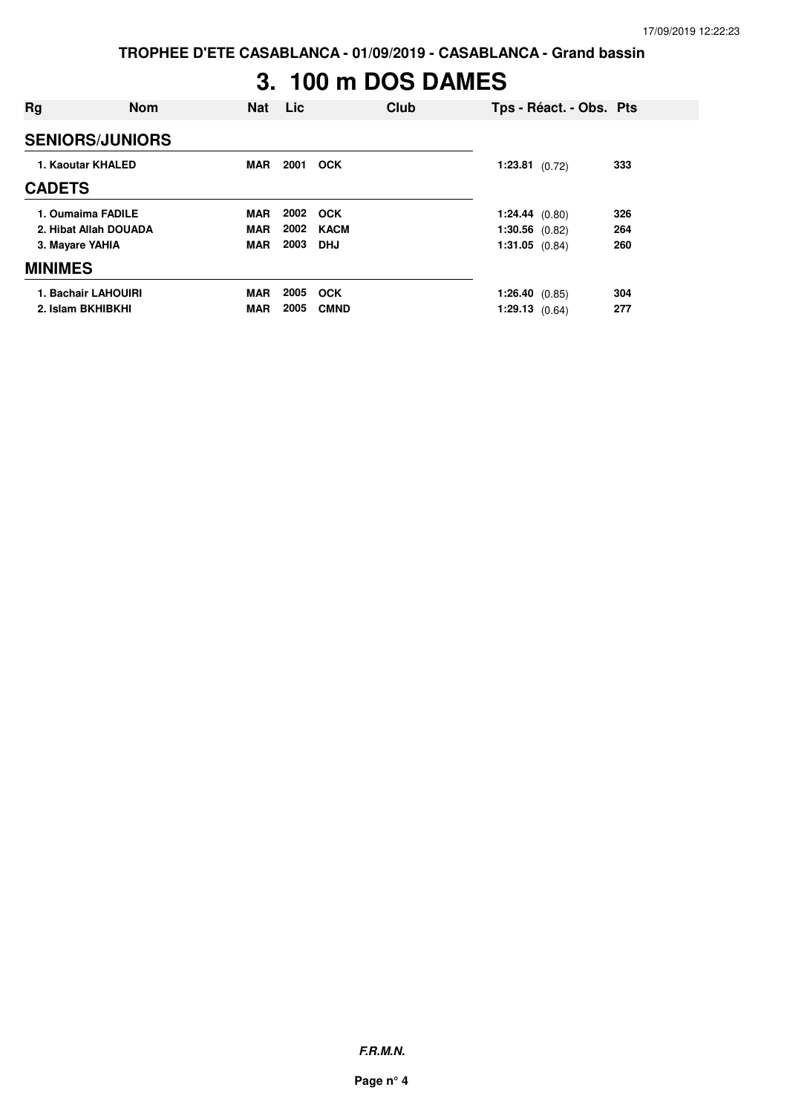**TROPHEE D'ETE CASABLANCA - 01/09/2019 - CASABLANCA - Grand bassin**

# **3. 100 m DOS DAMES**

| Rg<br><b>Nom</b>       | Nat        | <b>Lic</b> | Club        |                  | Tps - Réact. - Obs. Pts |     |
|------------------------|------------|------------|-------------|------------------|-------------------------|-----|
| <b>SENIORS/JUNIORS</b> |            |            |             |                  |                         |     |
| 1. Kaoutar KHALED      | <b>MAR</b> | 2001       | <b>OCK</b>  | $1:23.81$ (0.72) |                         | 333 |
| <b>CADETS</b>          |            |            |             |                  |                         |     |
| 1. Oumaima FADILE      | <b>MAR</b> | 2002       | <b>OCK</b>  | 1:24.44(0.80)    |                         | 326 |
| 2. Hibat Allah DOUADA  | <b>MAR</b> | 2002       | <b>KACM</b> | $1:30.56$ (0.82) |                         | 264 |
| 3. Mayare YAHIA        | MAR        | 2003       | DHJ         | $1:31.05$ (0.84) |                         | 260 |
| <b>MINIMES</b>         |            |            |             |                  |                         |     |
| 1. Bachair LAHOUIRI    | <b>MAR</b> | 2005       | <b>OCK</b>  | 1:26.40 $(0.85)$ |                         | 304 |
| 2. Islam BKHIBKHI      | <b>MAR</b> | 2005       | <b>CMND</b> | 1:29.13(0.64)    |                         | 277 |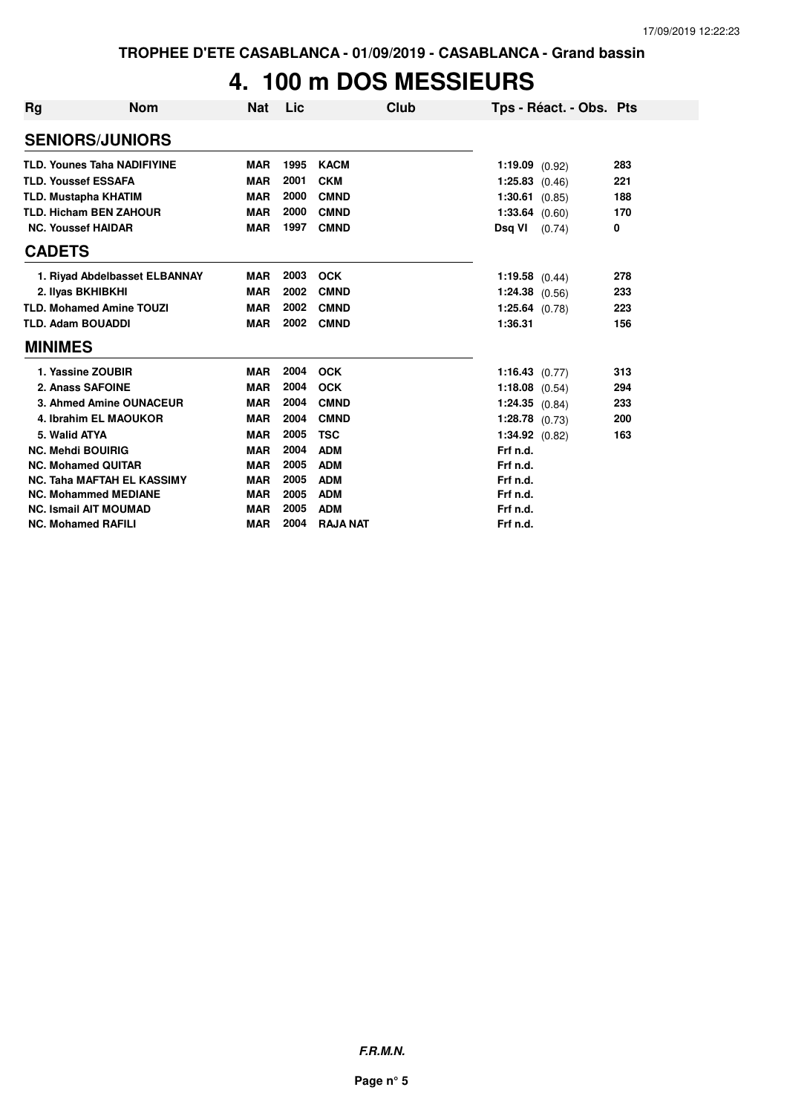## **4. 100 m DOS MESSIEURS**

| <b>Rg</b>                   | <b>Nom</b>                         | Nat        | Lic  | Club            | Tps - Réact. - Obs. Pts |     |
|-----------------------------|------------------------------------|------------|------|-----------------|-------------------------|-----|
|                             | <b>SENIORS/JUNIORS</b>             |            |      |                 |                         |     |
|                             | <b>TLD. Younes Taha NADIFIYINE</b> | <b>MAR</b> | 1995 | <b>KACM</b>     | 1:19.09 $(0.92)$        | 283 |
| <b>TLD. Youssef ESSAFA</b>  |                                    | <b>MAR</b> | 2001 | <b>CKM</b>      | $1:25.83$ (0.46)        | 221 |
| <b>TLD. Mustapha KHATIM</b> |                                    | <b>MAR</b> | 2000 | <b>CMND</b>     | $1:30.61$ (0.85)        | 188 |
|                             | <b>TLD. Hicham BEN ZAHOUR</b>      | <b>MAR</b> | 2000 | <b>CMND</b>     | $1:33.64$ (0.60)        | 170 |
| <b>NC. Youssef HAIDAR</b>   |                                    | <b>MAR</b> | 1997 | <b>CMND</b>     | Dsq VI<br>(0.74)        | 0   |
| <b>CADETS</b>               |                                    |            |      |                 |                         |     |
|                             | 1. Rivad Abdelbasset ELBANNAY      | <b>MAR</b> | 2003 | <b>OCK</b>      | $1:19.58$ (0.44)        | 278 |
| 2. Ilyas BKHIBKHI           |                                    | <b>MAR</b> | 2002 | <b>CMND</b>     | $1:24.38$ (0.56)        | 233 |
|                             | <b>TLD. Mohamed Amine TOUZI</b>    | <b>MAR</b> | 2002 | <b>CMND</b>     | $1:25.64$ (0.78)        | 223 |
| <b>TLD. Adam BOUADDI</b>    |                                    | <b>MAR</b> | 2002 | <b>CMND</b>     | 1:36.31                 | 156 |
| <b>MINIMES</b>              |                                    |            |      |                 |                         |     |
| 1. Yassine ZOUBIR           |                                    | <b>MAR</b> | 2004 | <b>OCK</b>      | 1:16.43 $(0.77)$        | 313 |
| 2. Anass SAFOINE            |                                    | <b>MAR</b> | 2004 | <b>OCK</b>      | $1:18.08$ (0.54)        | 294 |
|                             | 3. Ahmed Amine OUNACEUR            | <b>MAR</b> | 2004 | <b>CMND</b>     | $1:24.35$ $(0.84)$      | 233 |
|                             | 4. Ibrahim EL MAOUKOR              | <b>MAR</b> | 2004 | <b>CMND</b>     | $1:28.78$ (0.73)        | 200 |
| 5. Walid ATYA               |                                    | <b>MAR</b> | 2005 | <b>TSC</b>      | $1:34.92$ (0.82)        | 163 |
| <b>NC. Mehdi BOUIRIG</b>    |                                    | <b>MAR</b> | 2004 | <b>ADM</b>      | Frf n.d.                |     |
| <b>NC. Mohamed QUITAR</b>   |                                    | <b>MAR</b> | 2005 | <b>ADM</b>      | Frf n.d.                |     |
|                             | <b>NC. Taha MAFTAH EL KASSIMY</b>  | <b>MAR</b> | 2005 | <b>ADM</b>      | Frf n.d.                |     |
|                             | <b>NC. Mohammed MEDIANE</b>        | <b>MAR</b> | 2005 | <b>ADM</b>      | Frf n.d.                |     |
|                             | <b>NC. Ismail AIT MOUMAD</b>       | <b>MAR</b> | 2005 | <b>ADM</b>      | Frf n.d.                |     |
| <b>NC. Mohamed RAFILI</b>   |                                    | <b>MAR</b> | 2004 | <b>RAJA NAT</b> | Frf n.d.                |     |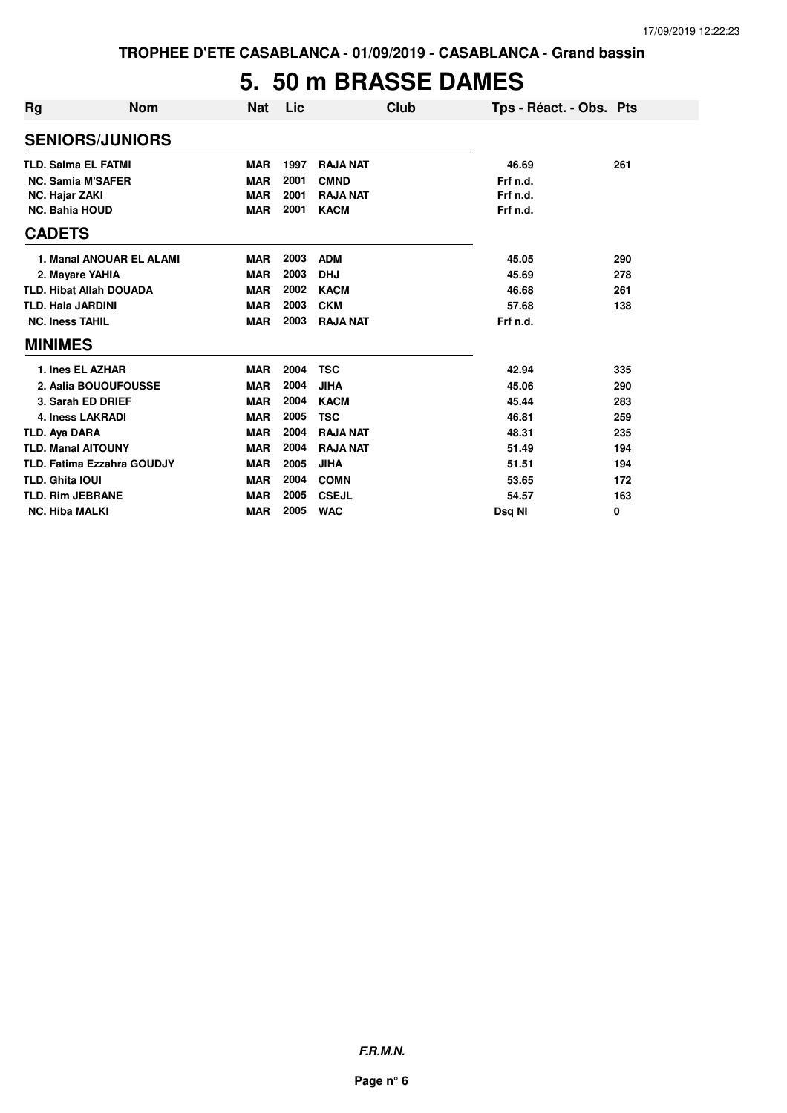### **5. 50 m BRASSE DAMES**

| <b>Rg</b>                  | <b>Nom</b>                        | Nat        | Lic  | Club            | Tps - Réact. - Obs. Pts |     |
|----------------------------|-----------------------------------|------------|------|-----------------|-------------------------|-----|
|                            | <b>SENIORS/JUNIORS</b>            |            |      |                 |                         |     |
| <b>TLD. Salma EL FATMI</b> |                                   | <b>MAR</b> | 1997 | <b>RAJA NAT</b> | 46.69                   | 261 |
|                            | <b>NC. Samia M'SAFER</b>          | <b>MAR</b> | 2001 | <b>CMND</b>     | Frf n.d.                |     |
| <b>NC. Hajar ZAKI</b>      |                                   | <b>MAR</b> | 2001 | <b>RAJA NAT</b> | Frf n.d.                |     |
| <b>NC. Bahia HOUD</b>      |                                   | <b>MAR</b> | 2001 | <b>KACM</b>     | Frf n.d.                |     |
| <b>CADETS</b>              |                                   |            |      |                 |                         |     |
|                            | 1. Manal ANOUAR EL ALAMI          | <b>MAR</b> | 2003 | <b>ADM</b>      | 45.05                   | 290 |
|                            | 2. Mayare YAHIA                   | <b>MAR</b> | 2003 | <b>DHJ</b>      | 45.69                   | 278 |
|                            | <b>TLD. Hibat Allah DOUADA</b>    | <b>MAR</b> | 2002 | <b>KACM</b>     | 46.68                   | 261 |
| <b>TLD. Hala JARDINI</b>   |                                   | <b>MAR</b> | 2003 | <b>CKM</b>      | 57.68                   | 138 |
| <b>NC. Iness TAHIL</b>     |                                   | <b>MAR</b> | 2003 | <b>RAJA NAT</b> | Frf n.d.                |     |
| <b>MINIMES</b>             |                                   |            |      |                 |                         |     |
|                            | 1. Ines EL AZHAR                  | <b>MAR</b> | 2004 | <b>TSC</b>      | 42.94                   | 335 |
|                            | 2. Aalia BOUOUFOUSSE              | <b>MAR</b> | 2004 | <b>JIHA</b>     | 45.06                   | 290 |
|                            | 3. Sarah ED DRIEF                 | <b>MAR</b> | 2004 | <b>KACM</b>     | 45.44                   | 283 |
|                            | <b>4. Iness LAKRADI</b>           | <b>MAR</b> | 2005 | <b>TSC</b>      | 46.81                   | 259 |
| TLD. Aya DARA              |                                   | <b>MAR</b> | 2004 | <b>RAJA NAT</b> | 48.31                   | 235 |
| <b>TLD. Manal AITOUNY</b>  |                                   | <b>MAR</b> | 2004 | <b>RAJA NAT</b> | 51.49                   | 194 |
|                            | <b>TLD. Fatima Ezzahra GOUDJY</b> | <b>MAR</b> | 2005 | <b>JIHA</b>     | 51.51                   | 194 |
| <b>TLD. Ghita IOUI</b>     |                                   | <b>MAR</b> | 2004 | <b>COMN</b>     | 53.65                   | 172 |
| <b>TLD. Rim JEBRANE</b>    |                                   | <b>MAR</b> | 2005 | <b>CSEJL</b>    | 54.57                   | 163 |
| <b>NC. Hiba MALKI</b>      |                                   | <b>MAR</b> | 2005 | <b>WAC</b>      | Dsa NI                  | 0   |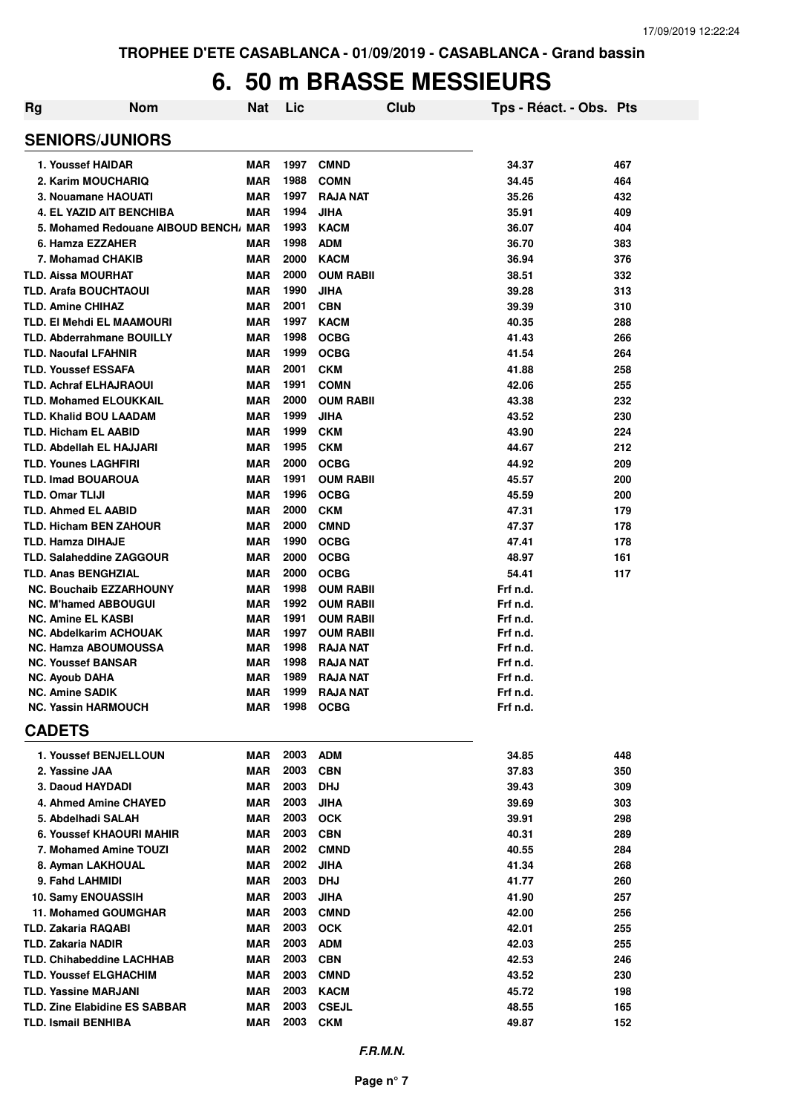#### **6. 50 m BRASSE MESSIEURS**

| <b>Rg</b> | <b>Nom</b>                                           | <b>Nat</b> | Lic  | <b>Club</b>                | Tps - Réact. - Obs. Pts |     |
|-----------|------------------------------------------------------|------------|------|----------------------------|-------------------------|-----|
|           | <b>SENIORS/JUNIORS</b>                               |            |      |                            |                         |     |
|           | 1. Youssef HAIDAR                                    | <b>MAR</b> | 1997 | <b>CMND</b>                | 34.37                   | 467 |
|           | 2. Karim MOUCHARIQ                                   | <b>MAR</b> | 1988 | <b>COMN</b>                | 34.45                   | 464 |
|           | 3. Nouamane HAOUATI                                  | <b>MAR</b> | 1997 | <b>RAJA NAT</b>            | 35.26                   | 432 |
|           | 4. EL YAZID AIT BENCHIBA                             | <b>MAR</b> | 1994 | <b>JIHA</b>                | 35.91                   | 409 |
|           | 5. Mohamed Redouane AIBOUD BENCH, MAR                |            | 1993 | <b>KACM</b>                | 36.07                   | 404 |
|           | 6. Hamza EZZAHER                                     | <b>MAR</b> | 1998 | <b>ADM</b>                 | 36.70                   | 383 |
|           | 7. Mohamad CHAKIB                                    | <b>MAR</b> | 2000 | <b>KACM</b>                | 36.94                   | 376 |
|           | <b>TLD. Aissa MOURHAT</b>                            | <b>MAR</b> | 2000 | <b>OUM RABII</b>           | 38.51                   | 332 |
|           | <b>TLD. Arafa BOUCHTAOUI</b>                         | <b>MAR</b> | 1990 | <b>JIHA</b>                | 39.28                   | 313 |
|           | <b>TLD. Amine CHIHAZ</b>                             | <b>MAR</b> | 2001 | <b>CBN</b>                 | 39.39                   | 310 |
|           | TLD. EI Mehdi EL MAAMOURI                            | <b>MAR</b> | 1997 | <b>KACM</b>                | 40.35                   | 288 |
|           | <b>TLD. Abderrahmane BOUILLY</b>                     | <b>MAR</b> | 1998 | <b>OCBG</b>                | 41.43                   | 266 |
|           | <b>TLD. Naoufal LFAHNIR</b>                          | <b>MAR</b> | 1999 | <b>OCBG</b>                | 41.54                   | 264 |
|           | <b>TLD. Youssef ESSAFA</b>                           | <b>MAR</b> | 2001 | <b>CKM</b>                 | 41.88                   | 258 |
|           | <b>TLD. Achraf ELHAJRAOUI</b>                        | <b>MAR</b> | 1991 | <b>COMN</b>                | 42.06                   | 255 |
|           | <b>TLD. Mohamed ELOUKKAIL</b>                        | <b>MAR</b> | 2000 | <b>OUM RABII</b>           | 43.38                   | 232 |
|           | <b>TLD. Khalid BOU LAADAM</b>                        | MAR        | 1999 | <b>JIHA</b>                | 43.52                   | 230 |
|           | <b>TLD. Hicham EL AABID</b>                          | <b>MAR</b> | 1999 | <b>CKM</b>                 | 43.90                   | 224 |
|           | <b>TLD. Abdellah EL HAJJARI</b>                      | MAR        | 1995 | <b>CKM</b>                 | 44.67                   | 212 |
|           | <b>TLD. Younes LAGHFIRI</b>                          | MAR        | 2000 | <b>OCBG</b>                | 44.92                   | 209 |
|           | <b>TLD. Imad BOUAROUA</b>                            | MAR        | 1991 | <b>OUM RABII</b>           | 45.57                   | 200 |
|           | <b>TLD. Omar TLIJI</b>                               | MAR        | 1996 | <b>OCBG</b>                | 45.59                   | 200 |
|           | <b>TLD. Ahmed EL AABID</b>                           | <b>MAR</b> | 2000 | <b>CKM</b>                 | 47.31                   | 179 |
|           | <b>TLD. Hicham BEN ZAHOUR</b>                        | <b>MAR</b> | 2000 | <b>CMND</b>                | 47.37                   | 178 |
|           | <b>TLD. Hamza DIHAJE</b>                             | <b>MAR</b> | 1990 | <b>OCBG</b>                | 47.41                   | 178 |
|           | <b>TLD. Salaheddine ZAGGOUR</b>                      | <b>MAR</b> | 2000 | <b>OCBG</b>                | 48.97                   | 161 |
|           | <b>TLD. Anas BENGHZIAL</b>                           | <b>MAR</b> | 2000 | <b>OCBG</b>                | 54.41                   | 117 |
|           | <b>NC. Bouchaib EZZARHOUNY</b>                       | <b>MAR</b> | 1998 | <b>OUM RABII</b>           | Frf n.d.                |     |
|           | <b>NC. M'hamed ABBOUGUI</b>                          | <b>MAR</b> | 1992 | <b>OUM RABII</b>           | Frf n.d.                |     |
|           | <b>NC. Amine EL KASBI</b>                            | <b>MAR</b> | 1991 | <b>OUM RABII</b>           | Frf n.d.                |     |
|           | <b>NC. Abdelkarim ACHOUAK</b>                        | <b>MAR</b> | 1997 | <b>OUM RABII</b>           | Frf n.d.                |     |
|           | <b>NC. Hamza ABOUMOUSSA</b>                          | <b>MAR</b> | 1998 | <b>RAJA NAT</b>            | Frf n.d.                |     |
|           | <b>NC. Youssef BANSAR</b>                            | <b>MAR</b> | 1998 | <b>RAJA NAT</b>            | Frf n.d.                |     |
|           | <b>NC. Ayoub DAHA</b>                                | <b>MAR</b> | 1989 | RAJA NAT                   | Frf n.d.                |     |
|           | <b>NC. Amine SADIK</b><br><b>NC. Yassin HARMOUCH</b> | <b>MAR</b> |      | 1999 RAJA NAT<br>1998 OCBG | Frf n.d.                |     |
|           |                                                      | MAR        |      |                            | Frf n.d.                |     |
|           | <b>CADETS</b>                                        |            |      |                            |                         |     |
|           | 1. Youssef BENJELLOUN                                | MAR        | 2003 | <b>ADM</b>                 | 34.85                   | 448 |
|           | 2. Yassine JAA                                       | MAR        | 2003 | <b>CBN</b>                 | 37.83                   | 350 |
|           | 3. Daoud HAYDADI                                     | MAR        | 2003 | <b>DHJ</b>                 | 39.43                   | 309 |
|           | 4. Ahmed Amine CHAYED                                | MAR        | 2003 | <b>JIHA</b>                | 39.69                   | 303 |
|           | 5. Abdelhadi SALAH                                   | MAR        | 2003 | <b>OCK</b>                 | 39.91                   | 298 |
|           | 6. Youssef KHAOURI MAHIR                             | MAR        | 2003 | <b>CBN</b>                 | 40.31                   | 289 |
|           | 7. Mohamed Amine TOUZI                               | MAR        | 2002 | <b>CMND</b>                | 40.55                   | 284 |
|           | 8. Ayman LAKHOUAL                                    | MAR        | 2002 | <b>JIHA</b>                | 41.34                   | 268 |
|           | 9. Fahd LAHMIDI                                      | MAR        | 2003 | <b>DHJ</b>                 | 41.77                   | 260 |
|           | 10. Samy ENOUASSIH                                   | MAR        | 2003 | <b>JIHA</b>                | 41.90                   | 257 |
|           | 11. Mohamed GOUMGHAR                                 | MAR        | 2003 | <b>CMND</b>                | 42.00                   | 256 |
|           | <b>TLD. Zakaria RAQABI</b>                           | <b>MAR</b> | 2003 | <b>OCK</b>                 | 42.01                   | 255 |
|           | <b>TLD. Zakaria NADIR</b>                            | <b>MAR</b> | 2003 | <b>ADM</b>                 | 42.03                   | 255 |
|           | <b>TLD. Chihabeddine LACHHAB</b>                     | MAR        | 2003 | <b>CBN</b>                 | 42.53                   | 246 |
|           | <b>TLD. Youssef ELGHACHIM</b>                        | <b>MAR</b> | 2003 | <b>CMND</b>                | 43.52                   | 230 |
|           | <b>TLD. Yassine MARJANI</b>                          | <b>MAR</b> | 2003 | <b>KACM</b>                | 45.72                   | 198 |
|           | <b>TLD. Zine Elabidine ES SABBAR</b>                 | MAR        | 2003 | <b>CSEJL</b>               | 48.55                   | 165 |
|           | <b>TLD. Ismail BENHIBA</b>                           | <b>MAR</b> | 2003 | <b>CKM</b>                 | 49.87                   | 152 |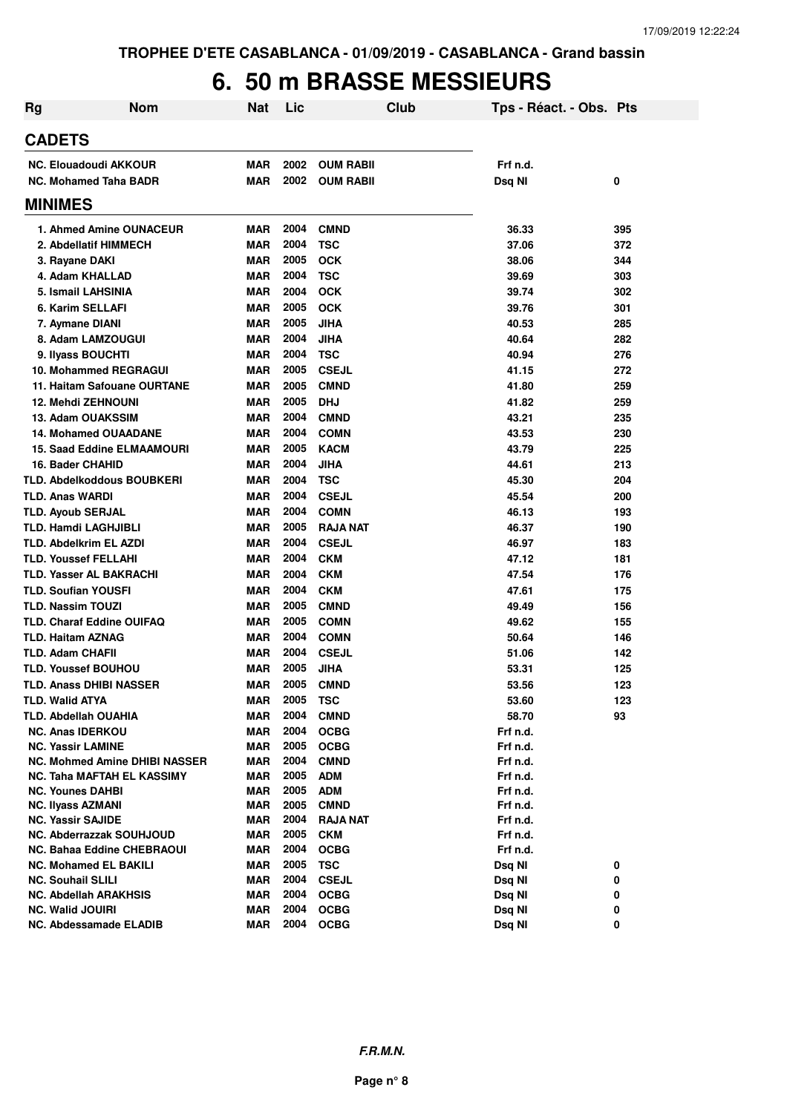#### **6. 50 m BRASSE MESSIEURS**

| <b>Rg</b> | <b>Nom</b>                                        | <b>Nat</b>        | Lic          |                            | Club | Tps - Réact. - Obs. Pts |        |
|-----------|---------------------------------------------------|-------------------|--------------|----------------------------|------|-------------------------|--------|
|           | <b>CADETS</b>                                     |                   |              |                            |      |                         |        |
|           | <b>NC. Elouadoudi AKKOUR</b>                      | <b>MAR</b>        | 2002         | <b>OUM RABII</b>           |      | Frf n.d.                |        |
|           | <b>NC. Mohamed Taha BADR</b>                      | <b>MAR</b>        | 2002         | <b>OUM RABII</b>           |      | Dsq NI                  | 0      |
|           | <b>MINIMES</b>                                    |                   |              |                            |      |                         |        |
|           | 1. Ahmed Amine OUNACEUR                           | <b>MAR</b>        | 2004         | <b>CMND</b>                |      | 36.33                   | 395    |
|           | 2. Abdellatif HIMMECH                             | <b>MAR</b>        | 2004         | <b>TSC</b>                 |      | 37.06                   | 372    |
|           | 3. Rayane DAKI                                    | <b>MAR</b>        | 2005         | <b>OCK</b>                 |      | 38.06                   | 344    |
|           | 4. Adam KHALLAD                                   | <b>MAR</b>        | 2004         | <b>TSC</b>                 |      | 39.69                   | 303    |
|           | 5. Ismail LAHSINIA                                | <b>MAR</b>        | 2004         | <b>OCK</b>                 |      | 39.74                   | 302    |
|           | 6. Karim SELLAFI                                  | <b>MAR</b>        | 2005         | <b>OCK</b>                 |      | 39.76                   | 301    |
|           | 7. Aymane DIANI                                   | <b>MAR</b>        | 2005         | <b>JIHA</b>                |      | 40.53                   | 285    |
|           | 8. Adam LAMZOUGUI                                 | MAR               | 2004         | <b>JIHA</b>                |      | 40.64                   | 282    |
|           | 9. Ilyass BOUCHTI                                 | <b>MAR</b>        | 2004         | <b>TSC</b>                 |      | 40.94                   | 276    |
|           | 10. Mohammed REGRAGUI                             | <b>MAR</b>        | 2005         | <b>CSEJL</b>               |      | 41.15                   | 272    |
|           | 11. Haitam Safouane OURTANE                       | MAR               | 2005         | <b>CMND</b>                |      | 41.80                   | 259    |
|           | <b>12. Mehdi ZEHNOUNI</b>                         | <b>MAR</b>        | 2005         | <b>DHJ</b>                 |      | 41.82                   | 259    |
|           | 13. Adam OUAKSSIM                                 | MAR               | 2004         | <b>CMND</b>                |      | 43.21                   | 235    |
|           | <b>14. Mohamed OUAADANE</b>                       | <b>MAR</b>        | 2004         | <b>COMN</b>                |      | 43.53                   | 230    |
|           | <b>15. Saad Eddine ELMAAMOURI</b>                 | <b>MAR</b>        | 2005         | <b>KACM</b>                |      | 43.79                   | 225    |
|           | 16. Bader CHAHID                                  | <b>MAR</b>        | 2004         | <b>JIHA</b>                |      | 44.61                   | 213    |
|           | <b>TLD. Abdelkoddous BOUBKERI</b>                 | <b>MAR</b>        | 2004         | <b>TSC</b>                 |      | 45.30                   | 204    |
|           | <b>TLD. Anas WARDI</b>                            | <b>MAR</b>        | 2004         | <b>CSEJL</b>               |      | 45.54                   | 200    |
|           | <b>TLD. Ayoub SERJAL</b>                          | <b>MAR</b>        | 2004         | <b>COMN</b>                |      | 46.13                   | 193    |
|           | TLD. Hamdi LAGHJIBLI                              | <b>MAR</b>        | 2005         | <b>RAJA NAT</b>            |      | 46.37                   | 190    |
|           | TLD. Abdelkrim EL AZDI                            | <b>MAR</b>        | 2004         | <b>CSEJL</b>               |      | 46.97                   | 183    |
|           | <b>TLD. Youssef FELLAHI</b>                       | <b>MAR</b>        | 2004         | <b>CKM</b>                 |      | 47.12                   | 181    |
|           | <b>TLD. Yasser AL BAKRACHI</b>                    | <b>MAR</b>        | 2004         | <b>CKM</b>                 |      | 47.54                   | 176    |
|           | <b>TLD. Soufian YOUSFI</b>                        | <b>MAR</b>        | 2004         | <b>CKM</b>                 |      | 47.61                   | 175    |
|           | <b>TLD. Nassim TOUZI</b>                          | <b>MAR</b>        | 2005         | <b>CMND</b>                |      | 49.49                   | 156    |
|           | <b>TLD. Charaf Eddine OUIFAQ</b>                  | <b>MAR</b>        | 2005         | <b>COMN</b>                |      | 49.62                   | 155    |
|           | <b>TLD. Haitam AZNAG</b>                          | <b>MAR</b>        | 2004         | <b>COMN</b>                |      | 50.64                   | 146    |
|           | <b>TLD. Adam CHAFII</b>                           | <b>MAR</b>        | 2004         | <b>CSEJL</b>               |      | 51.06                   | 142    |
|           | <b>TLD. Youssef BOUHOU</b>                        | <b>MAR</b>        | 2005         | <b>JIHA</b>                |      | 53.31                   | 125    |
|           | <b>TLD. Anass DHIBI NASSER</b>                    | MAR               | 2005         | <b>CMND</b>                |      | 53.56                   | 123    |
|           | <b>TLD. Walid ATYA</b>                            | MAR               | 2005         | TSC                        |      | 53.60                   | 123    |
|           | TLD. Abdellah OUAHIA                              | MAR               | 2004         | <b>CMND</b>                |      | 58.70                   | 93     |
|           | <b>NC. Anas IDERKOU</b>                           | <b>MAR</b>        | 2004         | <b>OCBG</b>                |      | Frf n.d.                |        |
|           | <b>NC. Yassir LAMINE</b>                          | MAR               | 2005         | <b>OCBG</b>                |      | Frf n.d.                |        |
|           | <b>NC. Mohmed Amine DHIBI NASSER</b>              | <b>MAR</b>        | 2004         | <b>CMND</b>                |      | Frf n.d.                |        |
|           | NC. Taha MAFTAH EL KASSIMY                        | MAR               | 2005         | <b>ADM</b>                 |      | Frf n.d.                |        |
|           | <b>NC. Younes DAHBI</b>                           | MAR               | 2005         | <b>ADM</b>                 |      | Frf n.d.                |        |
|           | <b>NC. Ilyass AZMANI</b>                          | <b>MAR</b>        | 2005         | <b>CMND</b>                |      | Frf n.d.                |        |
|           | <b>NC. Yassir SAJIDE</b>                          | MAR               | 2004         | <b>RAJA NAT</b>            |      | Frf n.d.                |        |
|           | <b>NC. Abderrazzak SOUHJOUD</b>                   | MAR               | 2005         | <b>CKM</b>                 |      | Frf n.d.                |        |
|           | <b>NC. Bahaa Eddine CHEBRAOUI</b>                 | MAR               | 2004         | <b>OCBG</b>                |      | Frf n.d.                |        |
|           | <b>NC. Mohamed EL BAKILI</b>                      | MAR               | 2005         | <b>TSC</b>                 |      | Dsq NI                  | 0      |
|           | <b>NC. Souhail SLILI</b>                          | <b>MAR</b>        | 2004         | <b>CSEJL</b>               |      | Dsq NI                  | 0      |
|           | NC. Abdellah ARAKHSIS                             | MAR               | 2004<br>2004 | <b>OCBG</b>                |      | Dsq NI                  | 0      |
|           | <b>NC. Walid JOUIRI</b><br>NC. Abdessamade ELADIB | MAR<br><b>MAR</b> | 2004         | <b>OCBG</b><br><b>OCBG</b> |      | Dsq NI<br>Dsq NI        | 0<br>0 |
|           |                                                   |                   |              |                            |      |                         |        |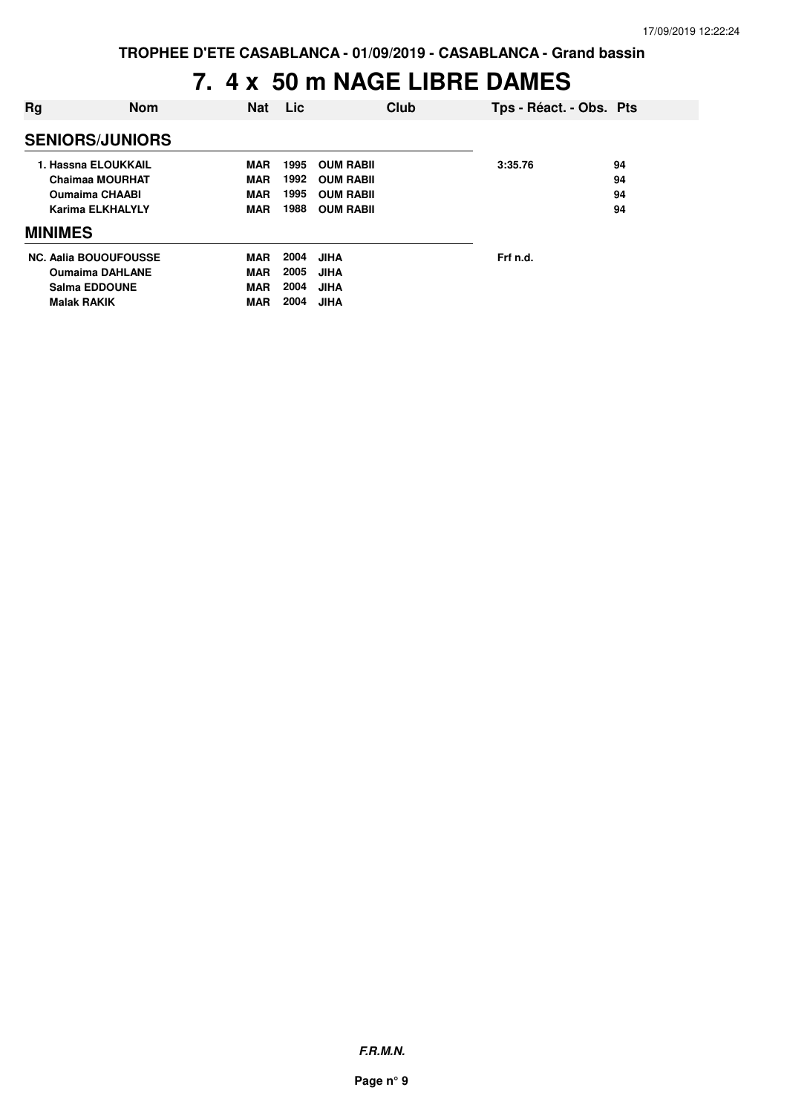### **7. 4 x 50 m NAGE LIBRE DAMES**

| Rg                           | <b>Nom</b> | <b>Nat</b> | Lic  |                  | Club | Tps - Réact. - Obs. Pts |    |
|------------------------------|------------|------------|------|------------------|------|-------------------------|----|
| <b>SENIORS/JUNIORS</b>       |            |            |      |                  |      |                         |    |
| 1. Hassna ELOUKKAIL          |            | <b>MAR</b> | 1995 | <b>OUM RABIL</b> |      | 3:35.76                 | 94 |
| Chaimaa MOURHAT              |            | <b>MAR</b> | 1992 | <b>OUM RABIL</b> |      |                         | 94 |
| <b>Oumaima CHAABI</b>        |            | <b>MAR</b> | 1995 | <b>OUM RABIL</b> |      |                         | 94 |
| <b>Karima ELKHALYLY</b>      |            | <b>MAR</b> | 1988 | <b>OUM RABIL</b> |      |                         | 94 |
| <b>MINIMES</b>               |            |            |      |                  |      |                         |    |
| <b>NC. Aalia BOUOUFOUSSE</b> |            | <b>MAR</b> | 2004 | <b>JIHA</b>      |      | Frf n.d.                |    |
| <b>Oumaima DAHLANE</b>       |            | <b>MAR</b> | 2005 | <b>JIHA</b>      |      |                         |    |
| <b>Salma EDDOUNE</b>         |            | <b>MAR</b> | 2004 | <b>JIHA</b>      |      |                         |    |
| <b>Malak RAKIK</b>           |            | <b>MAR</b> | 2004 | <b>JIHA</b>      |      |                         |    |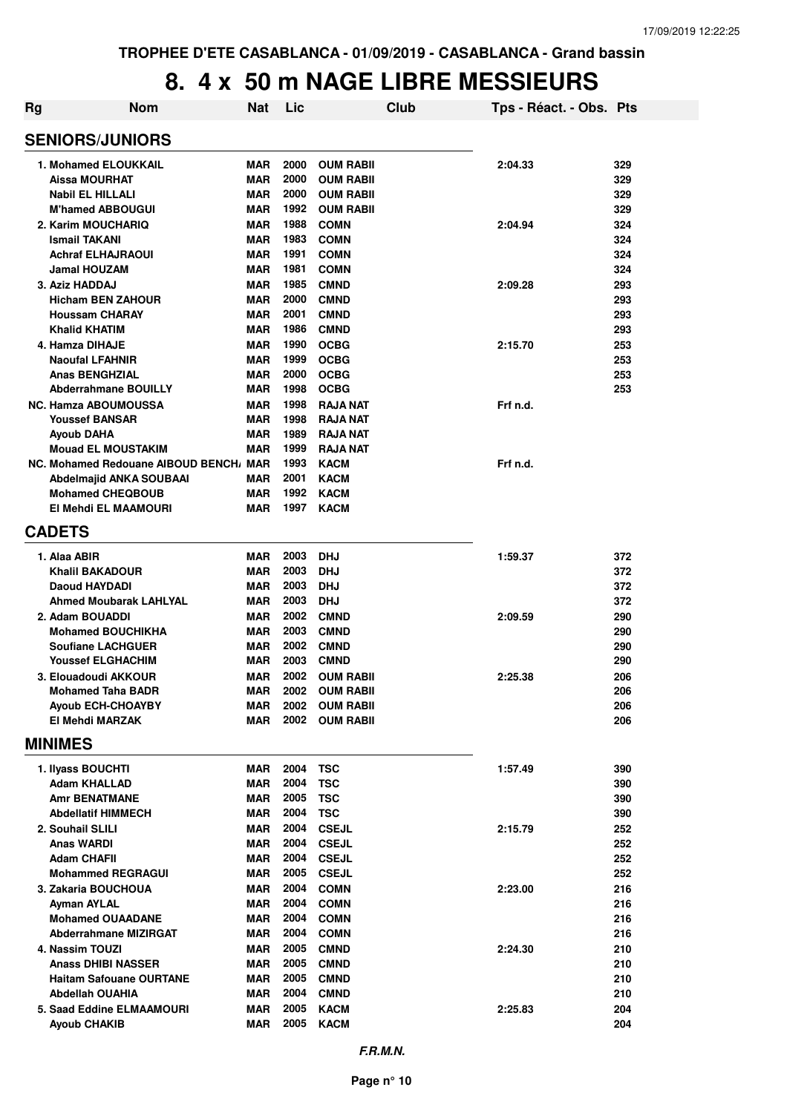### **8. 4 x 50 m NAGE LIBRE MESSIEURS**

| Rg                                               | <b>Nom</b>                             | <b>Nat</b>               | Lic          |                            | <b>Club</b> | Tps - Réact. - Obs. Pts |            |
|--------------------------------------------------|----------------------------------------|--------------------------|--------------|----------------------------|-------------|-------------------------|------------|
| <b>SENIORS/JUNIORS</b>                           |                                        |                          |              |                            |             |                         |            |
| 1. Mohamed ELOUKKAIL                             |                                        | <b>MAR</b>               | 2000         | <b>OUM RABII</b>           |             | 2:04.33                 | 329        |
| Aissa MOURHAT                                    |                                        | <b>MAR</b>               | 2000         | <b>OUM RABII</b>           |             |                         | 329        |
| <b>Nabil EL HILLALI</b>                          |                                        | <b>MAR</b>               | 2000         | <b>OUM RABII</b>           |             |                         | 329        |
| <b>M'hamed ABBOUGUI</b>                          |                                        | <b>MAR</b>               | 1992         | <b>OUM RABII</b>           |             |                         | 329        |
| 2. Karim MOUCHARIQ                               |                                        | <b>MAR</b>               | 1988<br>1983 | <b>COMN</b>                |             | 2:04.94                 | 324        |
| <b>Ismail TAKANI</b><br><b>Achraf ELHAJRAOUI</b> |                                        | <b>MAR</b><br><b>MAR</b> | 1991         | <b>COMN</b><br><b>COMN</b> |             |                         | 324<br>324 |
| <b>Jamal HOUZAM</b>                              |                                        | <b>MAR</b>               | 1981         | <b>COMN</b>                |             |                         | 324        |
| 3. Aziz HADDAJ                                   |                                        | <b>MAR</b>               | 1985         | <b>CMND</b>                |             | 2:09.28                 | 293        |
| <b>Hicham BEN ZAHOUR</b>                         |                                        | <b>MAR</b>               | 2000         | <b>CMND</b>                |             |                         | 293        |
| <b>Houssam CHARAY</b>                            |                                        | <b>MAR</b>               | 2001         | <b>CMND</b>                |             |                         | 293        |
| <b>Khalid KHATIM</b>                             |                                        | <b>MAR</b>               | 1986         | <b>CMND</b>                |             |                         | 293        |
| 4. Hamza DIHAJE                                  |                                        | <b>MAR</b>               | 1990         | <b>OCBG</b>                |             | 2:15.70                 | 253        |
| <b>Naoufal LFAHNIR</b>                           |                                        | <b>MAR</b>               | 1999         | <b>OCBG</b>                |             |                         | 253        |
| <b>Anas BENGHZIAL</b>                            |                                        | <b>MAR</b>               | 2000         | <b>OCBG</b>                |             |                         | 253        |
| <b>Abderrahmane BOUILLY</b>                      |                                        | <b>MAR</b>               | 1998         | <b>OCBG</b>                |             |                         | 253        |
| <b>NC. Hamza ABOUMOUSSA</b>                      |                                        | <b>MAR</b>               | 1998         | <b>RAJA NAT</b>            |             | Frf n.d.                |            |
| <b>Youssef BANSAR</b>                            |                                        | <b>MAR</b>               | 1998         | <b>RAJA NAT</b>            |             |                         |            |
| Ayoub DAHA                                       |                                        | <b>MAR</b>               | 1989         | <b>RAJA NAT</b>            |             |                         |            |
| <b>Mouad EL MOUSTAKIM</b>                        |                                        | <b>MAR</b>               | 1999         | <b>RAJA NAT</b>            |             |                         |            |
|                                                  | NC. Mohamed Redouane AIBOUD BENCH, MAR |                          | 1993         | <b>KACM</b>                |             | Frf n.d.                |            |
| Abdelmajid ANKA SOUBAAI                          |                                        | <b>MAR</b>               | 2001         | <b>KACM</b>                |             |                         |            |
| <b>Mohamed CHEQBOUB</b>                          |                                        | <b>MAR</b>               | 1992         | <b>KACM</b>                |             |                         |            |
| El Mehdi EL MAAMOURI                             |                                        | <b>MAR</b>               | 1997         | <b>KACM</b>                |             |                         |            |
| <b>CADETS</b>                                    |                                        |                          |              |                            |             |                         |            |
| 1. Alaa ABIR                                     |                                        | <b>MAR</b>               | 2003         | <b>DHJ</b>                 |             | 1:59.37                 | 372        |
| Khalil BAKADOUR                                  |                                        | <b>MAR</b>               | 2003         | <b>DHJ</b>                 |             |                         | 372        |
| <b>Daoud HAYDADI</b>                             |                                        | <b>MAR</b>               | 2003         | <b>DHJ</b>                 |             |                         | 372        |
| <b>Ahmed Moubarak LAHLYAL</b>                    |                                        | <b>MAR</b>               | 2003         | <b>DHJ</b>                 |             |                         | 372        |
| 2. Adam BOUADDI                                  |                                        | <b>MAR</b>               | 2002         | <b>CMND</b>                |             | 2:09.59                 | 290        |
| <b>Mohamed BOUCHIKHA</b>                         |                                        | <b>MAR</b>               | 2003         | <b>CMND</b>                |             |                         | 290        |
| <b>Soufiane LACHGUER</b>                         |                                        | <b>MAR</b>               | 2002         | <b>CMND</b>                |             |                         | 290        |
| <b>Youssef ELGHACHIM</b>                         |                                        | <b>MAR</b>               | 2003         | <b>CMND</b>                |             |                         | 290        |
| 3. Elouadoudi AKKOUR                             |                                        | <b>MAR</b>               | 2002         | <b>OUM RABII</b>           |             | 2:25.38                 | 206        |
| Mohamed Taha BADR                                |                                        | <b>MAR</b>               | 2002         | <b>OUM RABIL</b>           |             |                         | 206        |
| Ayoub ECH-CHOAYBY                                |                                        | MAR                      | 2002         | <b>OUM RABII</b>           |             |                         | 206        |
| El Mehdi MARZAK                                  |                                        | <b>MAR</b>               | 2002         | <b>OUM RABII</b>           |             |                         | 206        |
| <b>MINIMES</b>                                   |                                        |                          |              |                            |             |                         |            |
| 1. Ilyass BOUCHTI                                |                                        | MAR                      | 2004         | <b>TSC</b>                 |             | 1:57.49                 | 390        |
| <b>Adam KHALLAD</b>                              |                                        | <b>MAR</b>               | 2004         | <b>TSC</b>                 |             |                         | 390        |
| <b>Amr BENATMANE</b>                             |                                        | <b>MAR</b>               | 2005         | <b>TSC</b>                 |             |                         | 390        |
| <b>Abdellatif HIMMECH</b>                        |                                        | <b>MAR</b>               | 2004         | <b>TSC</b>                 |             |                         | 390        |
| 2. Souhail SLILI                                 |                                        | <b>MAR</b>               | 2004         | <b>CSEJL</b>               |             | 2:15.79                 | 252        |
| <b>Anas WARDI</b>                                |                                        | <b>MAR</b>               | 2004         | <b>CSEJL</b>               |             |                         | 252        |
| <b>Adam CHAFII</b>                               |                                        | <b>MAR</b>               | 2004         | <b>CSEJL</b>               |             |                         | 252        |
| <b>Mohammed REGRAGUI</b>                         |                                        | <b>MAR</b>               | 2005         | <b>CSEJL</b>               |             |                         | 252        |
| 3. Zakaria BOUCHOUA                              |                                        | <b>MAR</b><br><b>MAR</b> | 2004<br>2004 | <b>COMN</b><br><b>COMN</b> |             | 2:23.00                 | 216<br>216 |
| Ayman AYLAL<br><b>Mohamed OUAADANE</b>           |                                        | <b>MAR</b>               | 2004         | <b>COMN</b>                |             |                         | 216        |
| <b>Abderrahmane MIZIRGAT</b>                     |                                        | <b>MAR</b>               | 2004         | <b>COMN</b>                |             |                         | 216        |
| 4. Nassim TOUZI                                  |                                        | <b>MAR</b>               | 2005         | <b>CMND</b>                |             | 2:24.30                 | 210        |
| <b>Anass DHIBI NASSER</b>                        |                                        | <b>MAR</b>               | 2005         | <b>CMND</b>                |             |                         | 210        |
| <b>Haitam Safouane OURTANE</b>                   |                                        | <b>MAR</b>               | 2005         | <b>CMND</b>                |             |                         | 210        |
| <b>Abdellah OUAHIA</b>                           |                                        | <b>MAR</b>               | 2004         | <b>CMND</b>                |             |                         | 210        |
| 5. Saad Eddine ELMAAMOURI                        |                                        | <b>MAR</b>               | 2005         | <b>KACM</b>                |             | 2:25.83                 | 204        |
| <b>Ayoub CHAKIB</b>                              |                                        | <b>MAR</b>               | 2005         | <b>KACM</b>                |             |                         | 204        |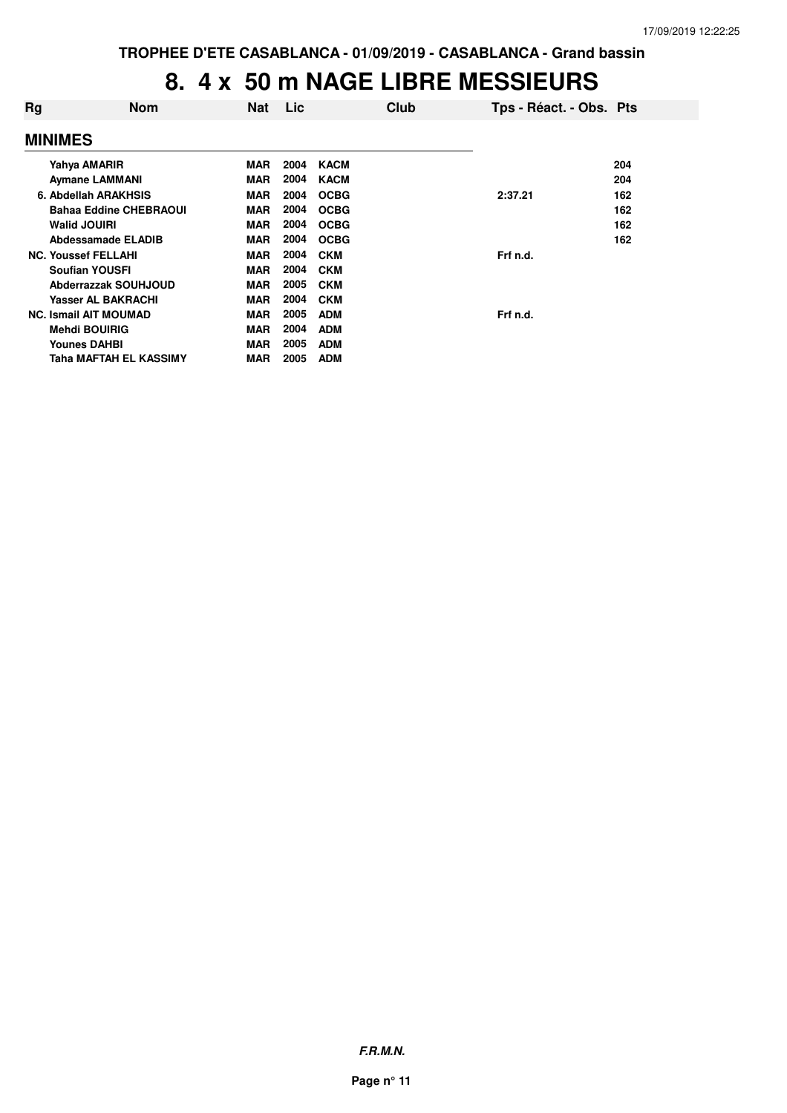#### **8. 4 x 50 m NAGE LIBRE MESSIEURS**

| Rg             | <b>Nom</b>                    | <b>Nat</b> | Lic  | Club        | Tps - Réact. - Obs. Pts |     |
|----------------|-------------------------------|------------|------|-------------|-------------------------|-----|
| <b>MINIMES</b> |                               |            |      |             |                         |     |
|                | Yahya AMARIR                  | MAR        | 2004 | <b>KACM</b> |                         | 204 |
|                | <b>Aymane LAMMANI</b>         | <b>MAR</b> | 2004 | <b>KACM</b> |                         | 204 |
|                | 6. Abdellah ARAKHSIS          | <b>MAR</b> | 2004 | <b>OCBG</b> | 2:37.21                 | 162 |
|                | <b>Bahaa Eddine CHEBRAOUI</b> | <b>MAR</b> | 2004 | <b>OCBG</b> |                         | 162 |
|                | <b>Walid JOUIRI</b>           | <b>MAR</b> | 2004 | <b>OCBG</b> |                         | 162 |
|                | <b>Abdessamade ELADIB</b>     | <b>MAR</b> | 2004 | <b>OCBG</b> |                         | 162 |
|                | <b>NC. Youssef FELLAHI</b>    | <b>MAR</b> | 2004 | <b>CKM</b>  | Frf n.d.                |     |
|                | <b>Soufian YOUSFI</b>         | <b>MAR</b> | 2004 | <b>CKM</b>  |                         |     |
|                | Abderrazzak SOUHJOUD          | <b>MAR</b> | 2005 | <b>CKM</b>  |                         |     |
|                | <b>Yasser AL BAKRACHI</b>     | <b>MAR</b> | 2004 | <b>CKM</b>  |                         |     |
|                | <b>NC. Ismail AIT MOUMAD</b>  | <b>MAR</b> | 2005 | <b>ADM</b>  | Frf n.d.                |     |
|                | <b>Mehdi BOUIRIG</b>          | <b>MAR</b> | 2004 | <b>ADM</b>  |                         |     |
|                | <b>Younes DAHBI</b>           | <b>MAR</b> | 2005 | <b>ADM</b>  |                         |     |
|                | Taha MAFTAH EL KASSIMY        | <b>MAR</b> | 2005 | <b>ADM</b>  |                         |     |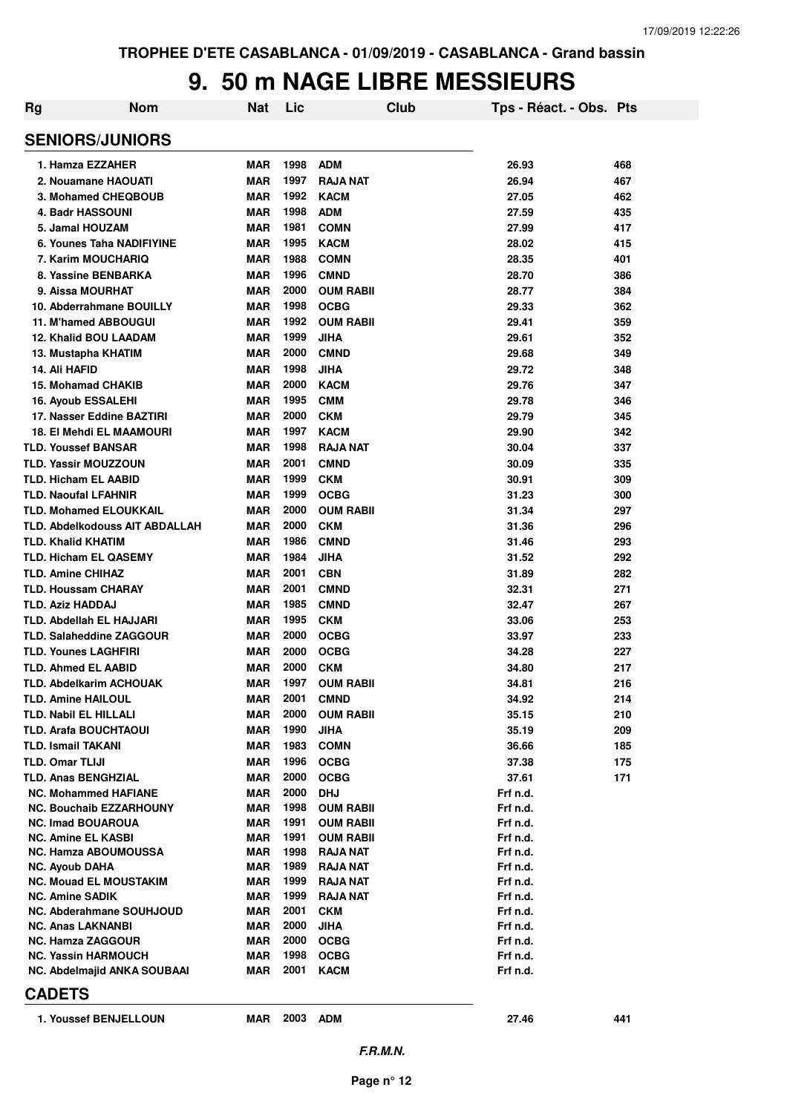#### **9. 50 m NAGE LIBRE MESSIEURS**

| Rg | <b>Nom</b>                            | Nat        | Lic  |                  | <b>Club</b> | Tps - Réact. - Obs. Pts |     |
|----|---------------------------------------|------------|------|------------------|-------------|-------------------------|-----|
|    | <b>SENIORS/JUNIORS</b>                |            |      |                  |             |                         |     |
|    | 1. Hamza EZZAHER                      | <b>MAR</b> | 1998 | <b>ADM</b>       |             | 26.93                   | 468 |
|    | 2. Nouamane HAOUATI                   | <b>MAR</b> | 1997 | <b>RAJA NAT</b>  |             | 26.94                   | 467 |
|    | 3. Mohamed CHEQBOUB                   | <b>MAR</b> | 1992 | <b>KACM</b>      |             | 27.05                   | 462 |
|    | <b>4. Badr HASSOUNI</b>               | <b>MAR</b> | 1998 | <b>ADM</b>       |             | 27.59                   | 435 |
|    | 5. Jamal HOUZAM                       | <b>MAR</b> | 1981 | <b>COMN</b>      |             | 27.99                   | 417 |
|    | 6. Younes Taha NADIFIYINE             | <b>MAR</b> | 1995 | <b>KACM</b>      |             | 28.02                   | 415 |
|    | 7. Karim MOUCHARIQ                    | <b>MAR</b> | 1988 | <b>COMN</b>      |             | 28.35                   | 401 |
|    | 8. Yassine BENBARKA                   | <b>MAR</b> | 1996 | <b>CMND</b>      |             | 28.70                   | 386 |
|    | 9. Aissa MOURHAT                      | <b>MAR</b> | 2000 | <b>OUM RABII</b> |             | 28.77                   | 384 |
|    | 10. Abderrahmane BOUILLY              | <b>MAR</b> | 1998 | <b>OCBG</b>      |             | 29.33                   | 362 |
|    | 11. M'hamed ABBOUGUI                  | <b>MAR</b> | 1992 | <b>OUM RABII</b> |             | 29.41                   | 359 |
|    | <b>12. Khalid BOU LAADAM</b>          | <b>MAR</b> | 1999 | <b>JIHA</b>      |             | 29.61                   | 352 |
|    | 13. Mustapha KHATIM                   | <b>MAR</b> | 2000 | <b>CMND</b>      |             | 29.68                   | 349 |
|    | 14. Ali HAFID                         | <b>MAR</b> | 1998 | <b>JIHA</b>      |             | 29.72                   | 348 |
|    | 15. Mohamad CHAKIB                    | <b>MAR</b> | 2000 | <b>KACM</b>      |             | 29.76                   | 347 |
|    | <b>16. Ayoub ESSALEHI</b>             | <b>MAR</b> | 1995 | <b>CMM</b>       |             | 29.78                   | 346 |
|    | 17. Nasser Eddine BAZTIRI             | <b>MAR</b> | 2000 | <b>CKM</b>       |             | 29.79                   | 345 |
|    | <b>18. El Mehdi EL MAAMOURI</b>       | <b>MAR</b> | 1997 | <b>KACM</b>      |             | 29.90                   | 342 |
|    | <b>TLD. Youssef BANSAR</b>            | <b>MAR</b> | 1998 | <b>RAJA NAT</b>  |             | 30.04                   | 337 |
|    | <b>TLD. Yassir MOUZZOUN</b>           | <b>MAR</b> | 2001 | <b>CMND</b>      |             | 30.09                   | 335 |
|    | <b>TLD. Hicham EL AABID</b>           | <b>MAR</b> | 1999 | <b>CKM</b>       |             | 30.91                   | 309 |
|    | <b>TLD. Naoufal LFAHNIR</b>           | <b>MAR</b> | 1999 | <b>OCBG</b>      |             | 31.23                   | 300 |
|    | <b>TLD. Mohamed ELOUKKAIL</b>         | <b>MAR</b> | 2000 | <b>OUM RABII</b> |             | 31.34                   | 297 |
|    | <b>TLD. Abdelkodouss AIT ABDALLAH</b> | <b>MAR</b> | 2000 | <b>CKM</b>       |             | 31.36                   | 296 |
|    | <b>TLD. Khalid KHATIM</b>             | <b>MAR</b> | 1986 | <b>CMND</b>      |             | 31.46                   | 293 |
|    | <b>TLD. Hicham EL QASEMY</b>          | <b>MAR</b> | 1984 | <b>JIHA</b>      |             | 31.52                   | 292 |
|    | <b>TLD. Amine CHIHAZ</b>              | <b>MAR</b> | 2001 | <b>CBN</b>       |             | 31.89                   | 282 |
|    | <b>TLD. Houssam CHARAY</b>            | <b>MAR</b> | 2001 | <b>CMND</b>      |             | 32.31                   | 271 |
|    | <b>TLD. Aziz HADDAJ</b>               | <b>MAR</b> | 1985 | <b>CMND</b>      |             | 32.47                   | 267 |
|    | <b>TLD. Abdellah EL HAJJARI</b>       | <b>MAR</b> | 1995 | <b>CKM</b>       |             | 33.06                   | 253 |
|    | <b>TLD. Salaheddine ZAGGOUR</b>       | <b>MAR</b> | 2000 | <b>OCBG</b>      |             | 33.97                   | 233 |
|    | <b>TLD. Younes LAGHFIRI</b>           | <b>MAR</b> | 2000 | <b>OCBG</b>      |             | 34.28                   | 227 |
|    | <b>TLD. Ahmed EL AABID</b>            | <b>MAR</b> | 2000 | <b>CKM</b>       |             | 34.80                   | 217 |
|    | TLD. Abdelkarim ACHOUAK               | <b>MAR</b> | 1997 | <b>OUM RABII</b> |             | 34.81                   | 216 |
|    | <b>TLD. Amine HAILOUL</b>             | MAR        | 2001 | <b>CMND</b>      |             | 34.92                   | 214 |
|    | <b>TLD. Nabil EL HILLALI</b>          | <b>MAR</b> | 2000 | <b>OUM RABII</b> |             | 35.15                   | 210 |
|    | <b>TLD. Arafa BOUCHTAOUI</b>          | <b>MAR</b> | 1990 | <b>JIHA</b>      |             | 35.19                   | 209 |
|    | <b>TLD. Ismail TAKANI</b>             | <b>MAR</b> | 1983 | <b>COMN</b>      |             | 36.66                   | 185 |
|    | <b>TLD. Omar TLIJI</b>                | MAR        | 1996 | <b>OCBG</b>      |             | 37.38                   | 175 |
|    | <b>TLD. Anas BENGHZIAL</b>            | MAR        | 2000 | <b>OCBG</b>      |             | 37.61                   | 171 |
|    | <b>NC. Mohammed HAFIANE</b>           | <b>MAR</b> | 2000 | <b>DHJ</b>       |             | Frf n.d.                |     |
|    | <b>NC. Bouchaib EZZARHOUNY</b>        | <b>MAR</b> | 1998 | <b>OUM RABII</b> |             | Frf n.d.                |     |
|    | <b>NC. Imad BOUAROUA</b>              | <b>MAR</b> | 1991 | <b>OUM RABII</b> |             | Frf n.d.                |     |
|    | <b>NC. Amine EL KASBI</b>             | MAR        | 1991 | <b>OUM RABII</b> |             | Frf n.d.                |     |
|    | <b>NC. Hamza ABOUMOUSSA</b>           | <b>MAR</b> | 1998 | RAJA NAT         |             | Frf n.d.                |     |
|    | <b>NC. Ayoub DAHA</b>                 | <b>MAR</b> | 1989 | RAJA NAT         |             | Frf n.d.                |     |
|    | <b>NC. Mouad EL MOUSTAKIM</b>         | MAR        | 1999 | RAJA NAT         |             | Frf n.d.                |     |
|    | <b>NC. Amine SADIK</b>                | MAR        | 1999 | RAJA NAT         |             | Frf n.d.                |     |
|    | NC. Abderahmane SOUHJOUD              | MAR        | 2001 | <b>CKM</b>       |             | Frf n.d.                |     |
|    | <b>NC. Anas LAKNANBI</b>              | <b>MAR</b> | 2000 | <b>JIHA</b>      |             | Frf n.d.                |     |
|    | <b>NC. Hamza ZAGGOUR</b>              | MAR        | 2000 | <b>OCBG</b>      |             | Frf n.d.                |     |
|    | <b>NC. Yassin HARMOUCH</b>            | MAR        | 1998 | <b>OCBG</b>      |             | Frf n.d.                |     |
|    | <b>NC. Abdelmajid ANKA SOUBAAI</b>    | MAR        | 2001 | <b>KACM</b>      |             | Frf n.d.                |     |
|    | <b>CADETS</b>                         |            |      |                  |             |                         |     |
|    | 1. Youssef BENJELLOUN                 | MAR        |      | 2003 ADM         |             | 27.46                   | 441 |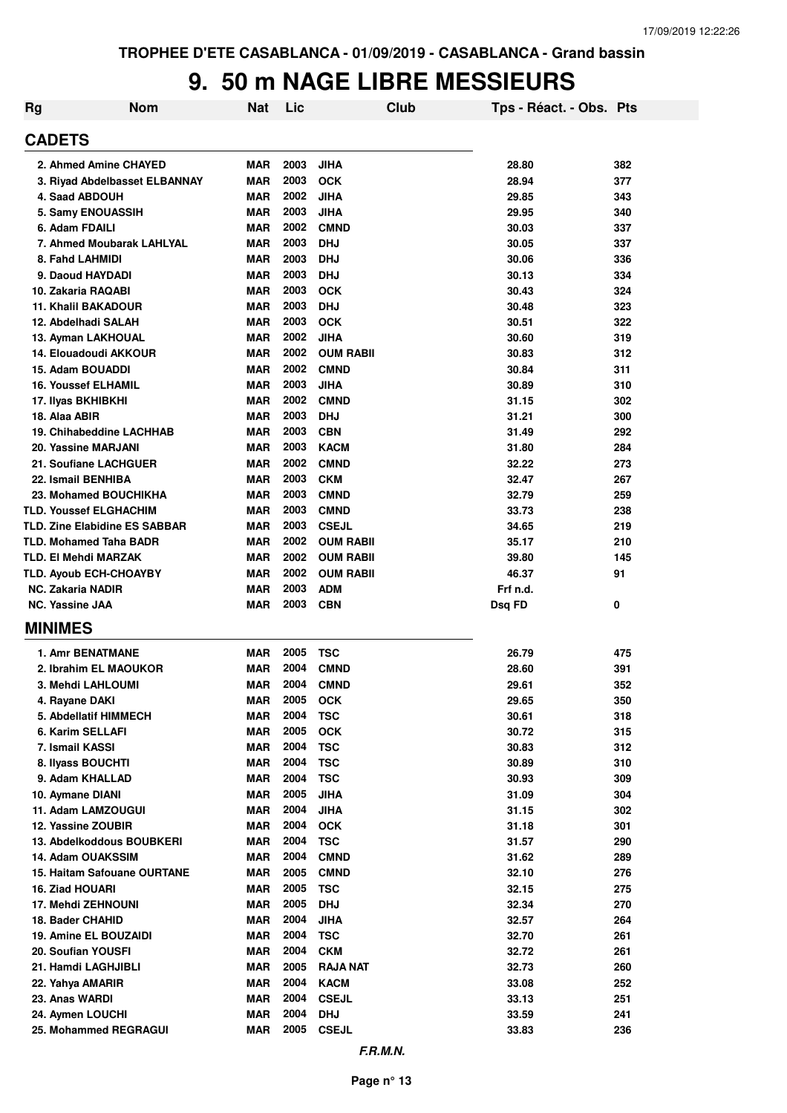#### **9. 50 m NAGE LIBRE MESSIEURS**

| <b>Rg</b> | <b>Nom</b>                           | Nat        | Lic  | <b>Club</b>      | Tps - Réact. - Obs. Pts |     |
|-----------|--------------------------------------|------------|------|------------------|-------------------------|-----|
|           | <b>CADETS</b>                        |            |      |                  |                         |     |
|           | 2. Ahmed Amine CHAYED                | <b>MAR</b> | 2003 | <b>JIHA</b>      | 28.80                   | 382 |
|           | 3. Riyad Abdelbasset ELBANNAY        | <b>MAR</b> | 2003 | <b>OCK</b>       | 28.94                   | 377 |
|           | 4. Saad ABDOUH                       | <b>MAR</b> | 2002 | <b>JIHA</b>      | 29.85                   | 343 |
|           | 5. Samy ENOUASSIH                    | <b>MAR</b> | 2003 | <b>JIHA</b>      | 29.95                   | 340 |
|           | 6. Adam FDAILI                       | <b>MAR</b> | 2002 | <b>CMND</b>      | 30.03                   | 337 |
|           | 7. Ahmed Moubarak LAHLYAL            | <b>MAR</b> | 2003 | <b>DHJ</b>       | 30.05                   | 337 |
|           | 8. Fahd LAHMIDI                      | <b>MAR</b> | 2003 | <b>DHJ</b>       | 30.06                   | 336 |
|           | 9. Daoud HAYDADI                     | <b>MAR</b> | 2003 | <b>DHJ</b>       | 30.13                   | 334 |
|           | 10. Zakaria RAQABI                   | <b>MAR</b> | 2003 | <b>OCK</b>       | 30.43                   | 324 |
|           | 11. Khalil BAKADOUR                  | <b>MAR</b> | 2003 | <b>DHJ</b>       | 30.48                   | 323 |
|           | 12. Abdelhadi SALAH                  | <b>MAR</b> | 2003 | <b>OCK</b>       | 30.51                   | 322 |
|           | 13. Ayman LAKHOUAL                   | <b>MAR</b> | 2002 | <b>JIHA</b>      | 30.60                   | 319 |
|           | 14. Elouadoudi AKKOUR                | <b>MAR</b> | 2002 | <b>OUM RABII</b> | 30.83                   | 312 |
|           | 15. Adam BOUADDI                     | <b>MAR</b> | 2002 | <b>CMND</b>      | 30.84                   | 311 |
|           | <b>16. Youssef ELHAMIL</b>           | <b>MAR</b> | 2003 | <b>JIHA</b>      | 30.89                   | 310 |
|           | 17. Ilyas BKHIBKHI                   | <b>MAR</b> | 2002 | <b>CMND</b>      | 31.15                   | 302 |
|           | 18. Alaa ABIR                        | <b>MAR</b> | 2003 | <b>DHJ</b>       | 31.21                   | 300 |
|           | 19. Chihabeddine LACHHAB             | <b>MAR</b> | 2003 | <b>CBN</b>       | 31.49                   | 292 |
|           | 20. Yassine MARJANI                  | <b>MAR</b> | 2003 | <b>KACM</b>      | 31.80                   | 284 |
|           | 21. Soufiane LACHGUER                | <b>MAR</b> | 2002 | <b>CMND</b>      | 32.22                   | 273 |
|           | 22. Ismail BENHIBA                   | <b>MAR</b> | 2003 | <b>CKM</b>       | 32.47                   | 267 |
|           | 23. Mohamed BOUCHIKHA                | <b>MAR</b> | 2003 | <b>CMND</b>      | 32.79                   | 259 |
|           | <b>TLD. Youssef ELGHACHIM</b>        | <b>MAR</b> | 2003 | <b>CMND</b>      | 33.73                   | 238 |
|           | <b>TLD. Zine Elabidine ES SABBAR</b> | <b>MAR</b> | 2003 | <b>CSEJL</b>     | 34.65                   | 219 |
|           | <b>TLD. Mohamed Taha BADR</b>        | <b>MAR</b> | 2002 | <b>OUM RABII</b> | 35.17                   | 210 |
|           | TLD. EI Mehdi MARZAK                 | <b>MAR</b> | 2002 | <b>OUM RABII</b> | 39.80                   | 145 |
|           | <b>TLD. Ayoub ECH-CHOAYBY</b>        | <b>MAR</b> | 2002 | <b>OUM RABII</b> | 46.37                   | 91  |
|           | <b>NC. Zakaria NADIR</b>             | <b>MAR</b> | 2003 | <b>ADM</b>       | Frf n.d.                |     |
|           | <b>NC. Yassine JAA</b>               | <b>MAR</b> | 2003 | <b>CBN</b>       | Dsq FD                  | 0   |
|           | <b>MINIMES</b>                       |            |      |                  |                         |     |
|           | <b>1. Amr BENATMANE</b>              | <b>MAR</b> | 2005 | <b>TSC</b>       | 26.79                   | 475 |
|           | 2. Ibrahim EL MAOUKOR                | <b>MAR</b> | 2004 | <b>CMND</b>      | 28.60                   | 391 |
|           | <b>3. Mehdi LAHLOUMI</b>             | <b>MAR</b> | 2004 | <b>CMND</b>      | 29.61                   | 352 |
|           | 4. Rayane DAKI                       | <b>MAR</b> | 2005 | <b>OCK</b>       | 29.65                   | 350 |
|           | 5. Abdellatif HIMMECH                | <b>MAR</b> | 2004 | <b>TSC</b>       | 30.61                   | 318 |
|           | 6. Karim SELLAFI                     | <b>MAR</b> | 2005 | <b>OCK</b>       | 30.72                   | 315 |
|           | 7. Ismail KASSI                      | <b>MAR</b> | 2004 | <b>TSC</b>       | 30.83                   | 312 |
|           | 8. Ilyass BOUCHTI                    | <b>MAR</b> | 2004 | <b>TSC</b>       | 30.89                   | 310 |
|           | 9. Adam KHALLAD                      | <b>MAR</b> | 2004 | <b>TSC</b>       | 30.93                   | 309 |
|           | 10. Aymane DIANI                     | <b>MAR</b> | 2005 | <b>JIHA</b>      | 31.09                   | 304 |
|           | 11. Adam LAMZOUGUI                   | <b>MAR</b> | 2004 | <b>JIHA</b>      | 31.15                   | 302 |
|           | 12. Yassine ZOUBIR                   | <b>MAR</b> | 2004 | <b>OCK</b>       | 31.18                   | 301 |
|           | 13. Abdelkoddous BOUBKERI            | <b>MAR</b> | 2004 | <b>TSC</b>       | 31.57                   | 290 |
|           | <b>14. Adam OUAKSSIM</b>             | <b>MAR</b> | 2004 | <b>CMND</b>      | 31.62                   | 289 |
|           | <b>15. Haitam Safouane OURTANE</b>   | <b>MAR</b> | 2005 | <b>CMND</b>      | 32.10                   | 276 |
|           | 16. Ziad HOUARI                      | <b>MAR</b> | 2005 | <b>TSC</b>       | 32.15                   | 275 |
|           | 17. Mehdi ZEHNOUNI                   | <b>MAR</b> | 2005 | <b>DHJ</b>       | 32.34                   | 270 |
|           | 18. Bader CHAHID                     | <b>MAR</b> | 2004 | <b>JIHA</b>      | 32.57                   | 264 |
|           | 19. Amine EL BOUZAIDI                | <b>MAR</b> | 2004 | <b>TSC</b>       | 32.70                   | 261 |
|           | 20. Soufian YOUSFI                   | <b>MAR</b> | 2004 | <b>CKM</b>       | 32.72                   | 261 |
|           | 21. Hamdi LAGHJIBLI                  | <b>MAR</b> | 2005 | <b>RAJA NAT</b>  | 32.73                   | 260 |
|           |                                      |            | 2004 |                  |                         |     |
|           | 22. Yahya AMARIR                     | <b>MAR</b> |      | <b>KACM</b>      | 33.08                   | 252 |
|           | 23. Anas WARDI                       | <b>MAR</b> | 2004 | <b>CSEJL</b>     | 33.13                   | 251 |
|           | 24. Aymen LOUCHI                     | <b>MAR</b> | 2004 | <b>DHJ</b>       | 33.59                   | 241 |
|           | 25. Mohammed REGRAGUI                | <b>MAR</b> | 2005 | <b>CSEJL</b>     | 33.83                   | 236 |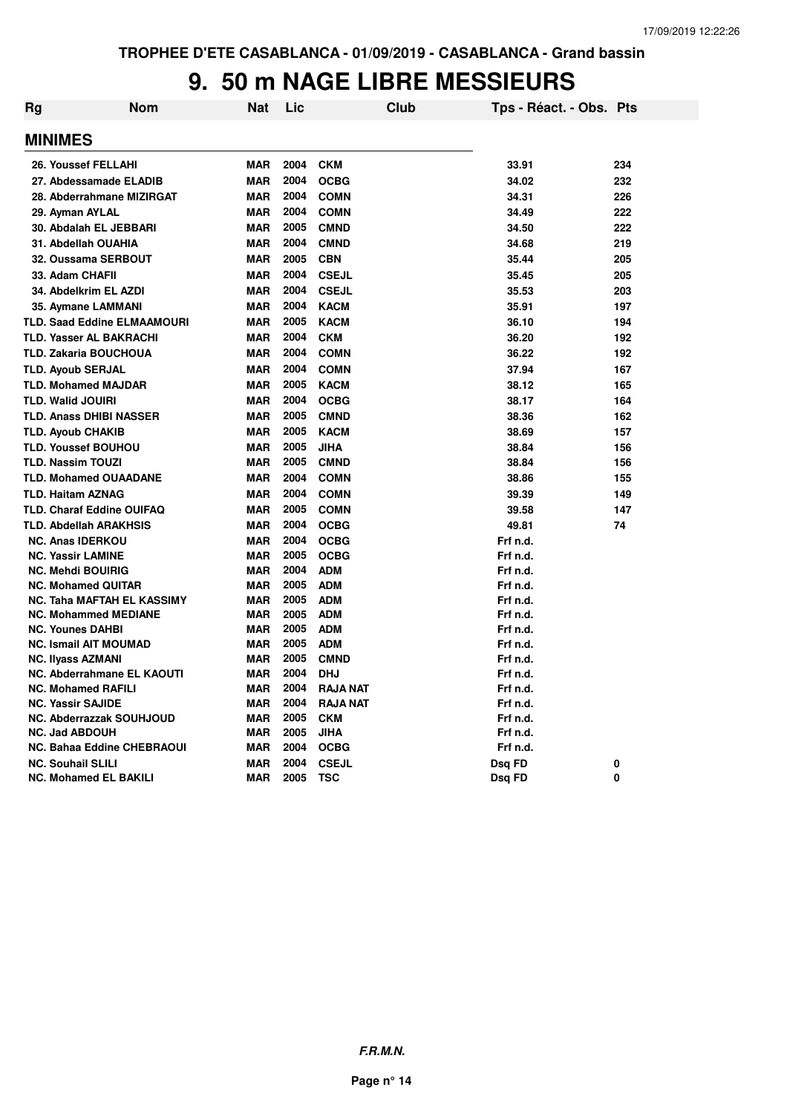#### **9. 50 m NAGE LIBRE MESSIEURS**

| <b>Rg</b> | Nom                                | Nat        | Lic  | <b>Club</b>     | Tps - Réact. - Obs. Pts |     |
|-----------|------------------------------------|------------|------|-----------------|-------------------------|-----|
|           | <b>MINIMES</b>                     |            |      |                 |                         |     |
|           | 26. Youssef FELLAHI                | <b>MAR</b> | 2004 | <b>CKM</b>      | 33.91                   | 234 |
|           | 27. Abdessamade ELADIB             | <b>MAR</b> | 2004 | <b>OCBG</b>     | 34.02                   | 232 |
|           | 28. Abderrahmane MIZIRGAT          | <b>MAR</b> | 2004 | <b>COMN</b>     | 34.31                   | 226 |
|           | 29. Ayman AYLAL                    | <b>MAR</b> | 2004 | <b>COMN</b>     | 34.49                   | 222 |
|           | 30. Abdalah EL JEBBARI             | MAR        | 2005 | <b>CMND</b>     | 34.50                   | 222 |
|           | 31. Abdellah OUAHIA                | <b>MAR</b> | 2004 | <b>CMND</b>     | 34.68                   | 219 |
|           | 32. Oussama SERBOUT                | <b>MAR</b> | 2005 | <b>CBN</b>      | 35.44                   | 205 |
|           | 33. Adam CHAFII                    | <b>MAR</b> | 2004 | <b>CSEJL</b>    | 35.45                   | 205 |
|           | 34. Abdelkrim EL AZDI              | <b>MAR</b> | 2004 | <b>CSEJL</b>    | 35.53                   | 203 |
|           | 35. Aymane LAMMANI                 | <b>MAR</b> | 2004 | <b>KACM</b>     | 35.91                   | 197 |
|           | <b>TLD. Saad Eddine ELMAAMOURI</b> | <b>MAR</b> | 2005 | <b>KACM</b>     | 36.10                   | 194 |
|           | <b>TLD. Yasser AL BAKRACHI</b>     | <b>MAR</b> | 2004 | <b>CKM</b>      | 36.20                   | 192 |
|           | <b>TLD. Zakaria BOUCHOUA</b>       | <b>MAR</b> | 2004 | <b>COMN</b>     | 36.22                   | 192 |
|           | <b>TLD. Ayoub SERJAL</b>           | <b>MAR</b> | 2004 | <b>COMN</b>     | 37.94                   | 167 |
|           | <b>TLD. Mohamed MAJDAR</b>         | <b>MAR</b> | 2005 | <b>KACM</b>     | 38.12                   | 165 |
|           | <b>TLD. Walid JOUIRI</b>           | <b>MAR</b> | 2004 | <b>OCBG</b>     | 38.17                   | 164 |
|           | <b>TLD. Anass DHIBI NASSER</b>     | <b>MAR</b> | 2005 | <b>CMND</b>     | 38.36                   | 162 |
|           | <b>TLD. Ayoub CHAKIB</b>           | <b>MAR</b> | 2005 | <b>KACM</b>     | 38.69                   | 157 |
|           | <b>TLD. Youssef BOUHOU</b>         | <b>MAR</b> | 2005 | <b>JIHA</b>     | 38.84                   | 156 |
|           | <b>TLD. Nassim TOUZI</b>           | <b>MAR</b> | 2005 | <b>CMND</b>     | 38.84                   | 156 |
|           | <b>TLD. Mohamed OUAADANE</b>       | <b>MAR</b> | 2004 | <b>COMN</b>     | 38.86                   | 155 |
|           | <b>TLD. Haitam AZNAG</b>           | <b>MAR</b> | 2004 | <b>COMN</b>     | 39.39                   | 149 |
|           | <b>TLD. Charaf Eddine OUIFAQ</b>   | <b>MAR</b> | 2005 | <b>COMN</b>     | 39.58                   | 147 |
|           | <b>TLD. Abdellah ARAKHSIS</b>      | <b>MAR</b> | 2004 | <b>OCBG</b>     | 49.81                   | 74  |
|           | <b>NC. Anas IDERKOU</b>            | <b>MAR</b> | 2004 | <b>OCBG</b>     | Frf n.d.                |     |
|           | <b>NC. Yassir LAMINE</b>           | <b>MAR</b> | 2005 | <b>OCBG</b>     | Frf n.d.                |     |
|           | <b>NC. Mehdi BOUIRIG</b>           | <b>MAR</b> | 2004 | <b>ADM</b>      | Frf n.d.                |     |
|           | <b>NC. Mohamed QUITAR</b>          | <b>MAR</b> | 2005 | <b>ADM</b>      | Frf n.d.                |     |
|           | <b>NC. Taha MAFTAH EL KASSIMY</b>  | <b>MAR</b> | 2005 | <b>ADM</b>      | Frf n.d.                |     |
|           | <b>NC. Mohammed MEDIANE</b>        | <b>MAR</b> | 2005 | <b>ADM</b>      | Frf n.d.                |     |
|           | <b>NC. Younes DAHBI</b>            | <b>MAR</b> | 2005 | <b>ADM</b>      | Frf n.d.                |     |
|           | <b>NC. Ismail AIT MOUMAD</b>       | <b>MAR</b> | 2005 | <b>ADM</b>      | Frf n.d.                |     |
|           | <b>NC. Ilyass AZMANI</b>           | <b>MAR</b> | 2005 | <b>CMND</b>     | Frf n.d.                |     |
|           | NC. Abderrahmane EL KAOUTI         | <b>MAR</b> | 2004 | <b>DHJ</b>      | Frf n.d.                |     |
|           | <b>NC. Mohamed RAFILI</b>          | <b>MAR</b> | 2004 | <b>RAJA NAT</b> | Frf n.d.                |     |
|           | <b>NC. Yassir SAJIDE</b>           | <b>MAR</b> | 2004 | <b>RAJA NAT</b> | Frf n.d.                |     |
|           | NC. Abderrazzak SOUHJOUD           | <b>MAR</b> | 2005 | <b>CKM</b>      | Frf n.d.                |     |
|           | <b>NC. Jad ABDOUH</b>              | <b>MAR</b> | 2005 | <b>JIHA</b>     | Frf n.d.                |     |
|           | <b>NC. Bahaa Eddine CHEBRAOUI</b>  | <b>MAR</b> | 2004 | <b>OCBG</b>     | Frf n.d.                |     |
|           | <b>NC. Souhail SLILI</b>           | <b>MAR</b> | 2004 | <b>CSEJL</b>    | Dsq FD                  | 0   |
|           | <b>NC. Mohamed EL BAKILI</b>       | <b>MAR</b> | 2005 | <b>TSC</b>      | Dsq FD                  | 0   |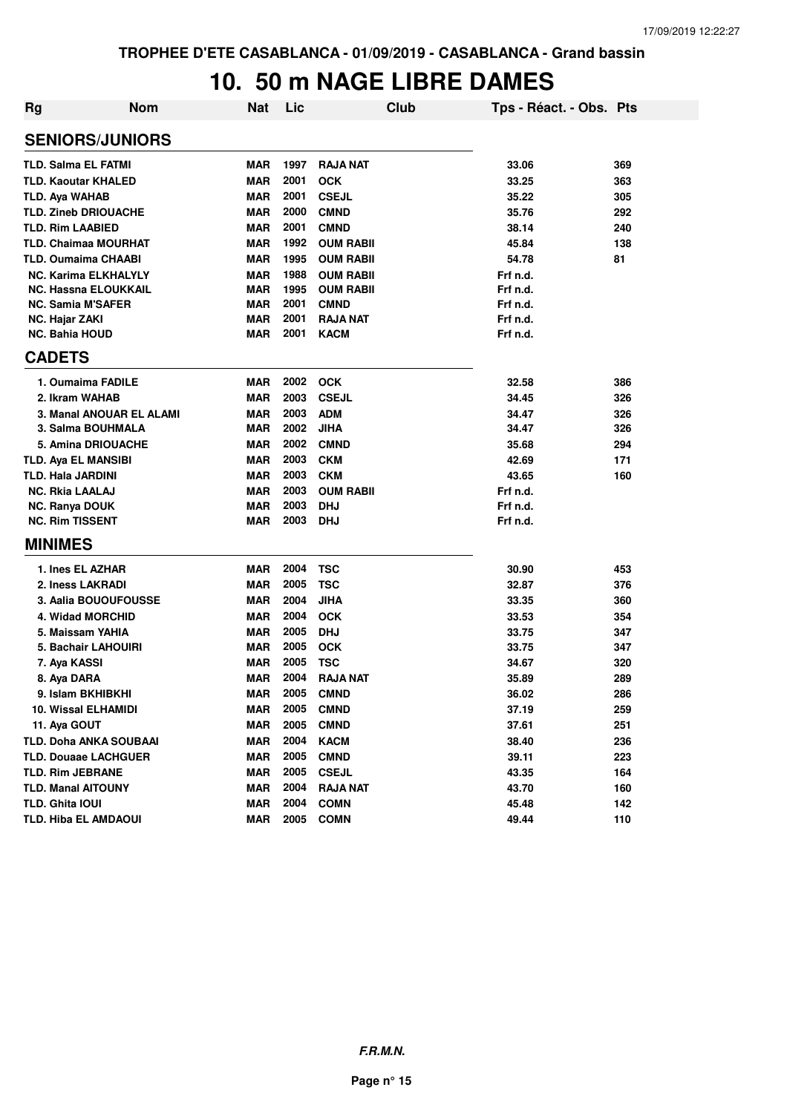#### **10. 50 m NAGE LIBRE DAMES**

| Rg | <b>Nom</b>                    | Nat        | Lic  | <b>Club</b>      | Tps - Réact. - Obs. Pts |     |
|----|-------------------------------|------------|------|------------------|-------------------------|-----|
|    | <b>SENIORS/JUNIORS</b>        |            |      |                  |                         |     |
|    | <b>TLD. Salma EL FATMI</b>    | <b>MAR</b> | 1997 | <b>RAJA NAT</b>  | 33.06                   | 369 |
|    | <b>TLD. Kaoutar KHALED</b>    | <b>MAR</b> | 2001 | <b>OCK</b>       | 33.25                   | 363 |
|    | <b>TLD. Aya WAHAB</b>         | <b>MAR</b> | 2001 | <b>CSEJL</b>     | 35.22                   | 305 |
|    | <b>TLD. Zineb DRIOUACHE</b>   | <b>MAR</b> | 2000 | <b>CMND</b>      | 35.76                   | 292 |
|    | <b>TLD. Rim LAABIED</b>       | <b>MAR</b> | 2001 | <b>CMND</b>      | 38.14                   | 240 |
|    | <b>TLD. Chaimaa MOURHAT</b>   | <b>MAR</b> | 1992 | <b>OUM RABII</b> | 45.84                   | 138 |
|    | <b>TLD. Oumaima CHAABI</b>    | <b>MAR</b> | 1995 | <b>OUM RABII</b> | 54.78                   | 81  |
|    | <b>NC. Karima ELKHALYLY</b>   | <b>MAR</b> | 1988 | <b>OUM RABII</b> | Frf n.d.                |     |
|    | <b>NC. Hassna ELOUKKAIL</b>   | <b>MAR</b> | 1995 | <b>OUM RABII</b> | Frf n.d.                |     |
|    | <b>NC. Samia M'SAFER</b>      | <b>MAR</b> | 2001 | <b>CMND</b>      | Frf n.d.                |     |
|    | <b>NC. Hajar ZAKI</b>         | <b>MAR</b> | 2001 | <b>RAJA NAT</b>  | Frf n.d.                |     |
|    | <b>NC. Bahia HOUD</b>         | <b>MAR</b> | 2001 | <b>KACM</b>      | Frf n.d.                |     |
|    | <b>CADETS</b>                 |            |      |                  |                         |     |
|    | 1. Oumaima FADILE             | <b>MAR</b> | 2002 | <b>OCK</b>       | 32.58                   | 386 |
|    | 2. Ikram WAHAB                | <b>MAR</b> | 2003 | <b>CSEJL</b>     | 34.45                   | 326 |
|    | 3. Manal ANOUAR EL ALAMI      | <b>MAR</b> | 2003 | <b>ADM</b>       | 34.47                   | 326 |
|    | 3. Salma BOUHMALA             | <b>MAR</b> | 2002 | <b>JIHA</b>      | 34.47                   | 326 |
|    | 5. Amina DRIOUACHE            | <b>MAR</b> | 2002 | <b>CMND</b>      | 35.68                   | 294 |
|    | <b>TLD. Aya EL MANSIBI</b>    | <b>MAR</b> | 2003 | <b>CKM</b>       | 42.69                   | 171 |
|    | <b>TLD. Hala JARDINI</b>      | <b>MAR</b> | 2003 | <b>CKM</b>       | 43.65                   | 160 |
|    | <b>NC. Rkia LAALAJ</b>        | <b>MAR</b> | 2003 | <b>OUM RABII</b> | Frf n.d.                |     |
|    | <b>NC. Ranya DOUK</b>         | MAR        | 2003 | <b>DHJ</b>       | Frf n.d.                |     |
|    | <b>NC. Rim TISSENT</b>        | <b>MAR</b> | 2003 | <b>DHJ</b>       | Frf n.d.                |     |
|    | <b>MINIMES</b>                |            |      |                  |                         |     |
|    | 1. Ines EL AZHAR              | <b>MAR</b> | 2004 | <b>TSC</b>       | 30.90                   | 453 |
|    | 2. Iness LAKRADI              | <b>MAR</b> | 2005 | <b>TSC</b>       | 32.87                   | 376 |
|    | 3. Aalia BOUOUFOUSSE          | <b>MAR</b> | 2004 | <b>JIHA</b>      | 33.35                   | 360 |
|    | 4. Widad MORCHID              | <b>MAR</b> | 2004 | <b>OCK</b>       | 33.53                   | 354 |
|    | 5. Maissam YAHIA              | <b>MAR</b> | 2005 | <b>DHJ</b>       | 33.75                   | 347 |
|    | 5. Bachair LAHOUIRI           | <b>MAR</b> | 2005 | <b>OCK</b>       | 33.75                   | 347 |
|    | 7. Aya KASSI                  | <b>MAR</b> | 2005 | <b>TSC</b>       | 34.67                   | 320 |
|    | 8. Aya DARA                   | <b>MAR</b> | 2004 | <b>RAJA NAT</b>  | 35.89                   | 289 |
|    | 9. Islam BKHIBKHI             | <b>MAR</b> |      | 2005 CMND        | 36.02                   | 286 |
|    | 10. Wissal ELHAMIDI           | MAR        | 2005 | <b>CMND</b>      | 37.19                   | 259 |
|    | 11. Aya GOUT                  | MAR        | 2005 | <b>CMND</b>      | 37.61                   | 251 |
|    | <b>TLD. Doha ANKA SOUBAAI</b> | <b>MAR</b> | 2004 | <b>KACM</b>      | 38.40                   | 236 |
|    | <b>TLD. Douaae LACHGUER</b>   | <b>MAR</b> | 2005 | <b>CMND</b>      | 39.11                   | 223 |
|    | <b>TLD. Rim JEBRANE</b>       | <b>MAR</b> | 2005 | <b>CSEJL</b>     | 43.35                   | 164 |
|    | <b>TLD. Manal AITOUNY</b>     | MAR        | 2004 | <b>RAJA NAT</b>  | 43.70                   | 160 |
|    | TLD. Ghita IOUI               | <b>MAR</b> | 2004 | <b>COMN</b>      | 45.48                   | 142 |
|    | <b>TLD. Hiba EL AMDAOUI</b>   | <b>MAR</b> | 2005 | <b>COMN</b>      | 49.44                   | 110 |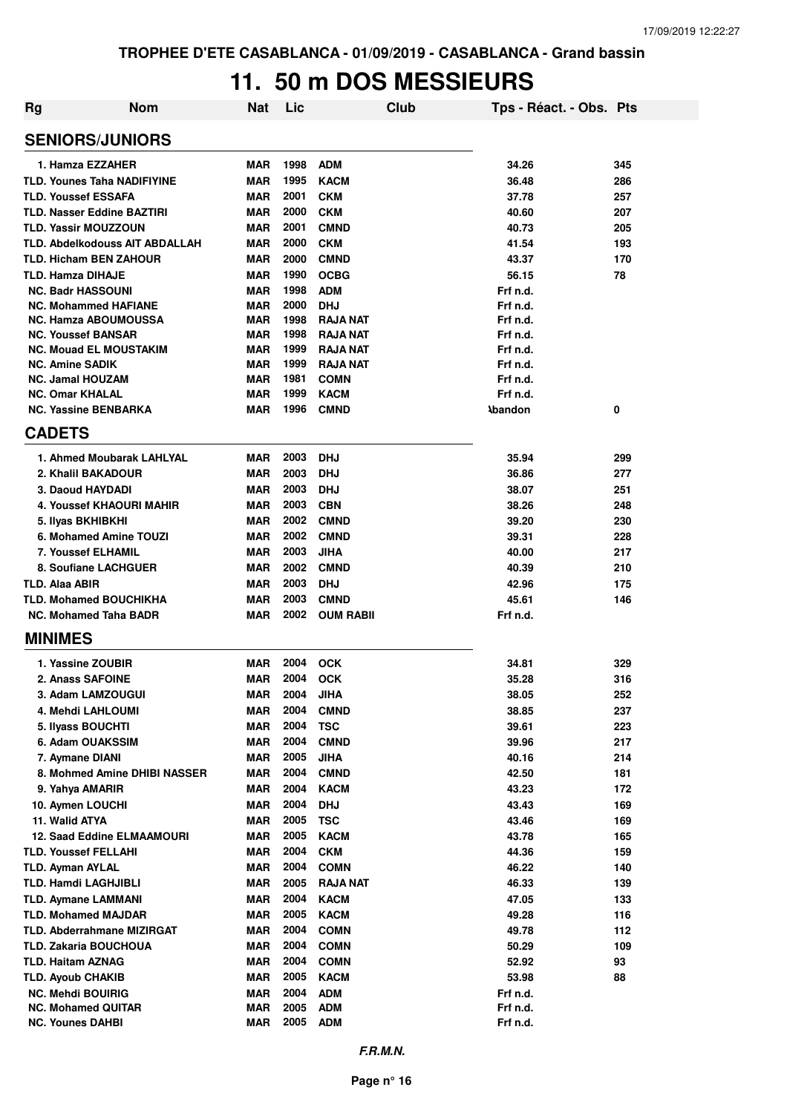#### **11. 50 m DOS MESSIEURS**

| <b>Rg</b> | <b>Nom</b>                                               | Nat        | Lic  |                            | Club | Tps - Réact. - Obs. Pts |            |
|-----------|----------------------------------------------------------|------------|------|----------------------------|------|-------------------------|------------|
|           | <b>SENIORS/JUNIORS</b>                                   |            |      |                            |      |                         |            |
|           | 1. Hamza EZZAHER                                         | <b>MAR</b> | 1998 | <b>ADM</b>                 |      | 34.26                   | 345        |
|           | <b>TLD. Younes Taha NADIFIYINE</b>                       | <b>MAR</b> | 1995 | <b>KACM</b>                |      | 36.48                   | 286        |
|           | <b>TLD. Youssef ESSAFA</b>                               | <b>MAR</b> | 2001 | <b>CKM</b>                 |      | 37.78                   | 257        |
|           | <b>TLD. Nasser Eddine BAZTIRI</b>                        | <b>MAR</b> | 2000 | <b>CKM</b>                 |      | 40.60                   | 207        |
|           | <b>TLD. Yassir MOUZZOUN</b>                              | <b>MAR</b> | 2001 | <b>CMND</b>                |      | 40.73                   | 205        |
|           | <b>TLD. Abdelkodouss AIT ABDALLAH</b>                    | <b>MAR</b> | 2000 | <b>CKM</b>                 |      | 41.54                   | 193        |
|           | <b>TLD. Hicham BEN ZAHOUR</b>                            | <b>MAR</b> | 2000 | <b>CMND</b>                |      | 43.37                   | 170        |
|           | <b>TLD. Hamza DIHAJE</b>                                 | <b>MAR</b> | 1990 | <b>OCBG</b>                |      | 56.15                   | 78         |
|           | <b>NC. Badr HASSOUNI</b>                                 | <b>MAR</b> | 1998 | <b>ADM</b>                 |      | Frf n.d.                |            |
|           | <b>NC. Mohammed HAFIANE</b>                              | <b>MAR</b> | 2000 | <b>DHJ</b>                 |      | Frf n.d.                |            |
|           | <b>NC. Hamza ABOUMOUSSA</b>                              | <b>MAR</b> | 1998 | <b>RAJA NAT</b>            |      | Frf n.d.                |            |
|           | <b>NC. Youssef BANSAR</b>                                | <b>MAR</b> | 1998 | <b>RAJA NAT</b>            |      | Frf n.d.                |            |
|           | <b>NC. Mouad EL MOUSTAKIM</b>                            | <b>MAR</b> | 1999 | <b>RAJA NAT</b>            |      | Frf n.d.                |            |
|           | <b>NC. Amine SADIK</b>                                   | <b>MAR</b> | 1999 | <b>RAJA NAT</b>            |      | Frf n.d.                |            |
|           | <b>NC. Jamal HOUZAM</b>                                  | <b>MAR</b> | 1981 | <b>COMN</b>                |      | Frf n.d.                |            |
|           | <b>NC. Omar KHALAL</b>                                   | <b>MAR</b> | 1999 | <b>KACM</b>                |      | Frf n.d.                |            |
|           | <b>NC. Yassine BENBARKA</b>                              | <b>MAR</b> | 1996 | <b>CMND</b>                |      | <b>Abandon</b>          | 0          |
|           | <b>CADETS</b>                                            |            |      |                            |      |                         |            |
|           | 1. Ahmed Moubarak LAHLYAL                                | <b>MAR</b> | 2003 | <b>DHJ</b>                 |      | 35.94                   | 299        |
|           | 2. Khalil BAKADOUR                                       | <b>MAR</b> | 2003 | <b>DHJ</b>                 |      | 36.86                   | 277        |
|           | 3. Daoud HAYDADI                                         | <b>MAR</b> | 2003 | <b>DHJ</b>                 |      | 38.07                   | 251        |
|           | 4. Youssef KHAOURI MAHIR                                 | <b>MAR</b> | 2003 | <b>CBN</b>                 |      | 38.26                   | 248        |
|           | 5. Ilyas BKHIBKHI                                        | <b>MAR</b> | 2002 | <b>CMND</b>                |      | 39.20                   | 230        |
|           | 6. Mohamed Amine TOUZI                                   | <b>MAR</b> | 2002 | <b>CMND</b>                |      | 39.31                   | 228        |
|           | <b>7. Youssef ELHAMIL</b>                                | <b>MAR</b> | 2003 | <b>JIHA</b>                |      | 40.00                   | 217        |
|           | 8. Soufiane LACHGUER                                     | <b>MAR</b> | 2002 | <b>CMND</b>                |      | 40.39                   | 210        |
|           | <b>TLD. Alaa ABIR</b>                                    | <b>MAR</b> | 2003 | <b>DHJ</b>                 |      | 42.96                   | 175        |
|           | <b>TLD. Mohamed BOUCHIKHA</b>                            | <b>MAR</b> | 2003 | <b>CMND</b>                |      | 45.61                   | 146        |
|           | <b>NC. Mohamed Taha BADR</b>                             | <b>MAR</b> | 2002 | <b>OUM RABII</b>           |      | Frf n.d.                |            |
|           | <b>MINIMES</b>                                           |            |      |                            |      |                         |            |
|           | 1. Yassine ZOUBIR                                        | <b>MAR</b> | 2004 | <b>OCK</b>                 |      | 34.81                   | 329        |
|           | 2. Anass SAFOINE                                         | <b>MAR</b> | 2004 | <b>OCK</b>                 |      | 35.28                   | 316        |
|           | 3. Adam LAMZOUGUI                                        | <b>MAR</b> | 2004 | <b>JIHA</b>                |      | 38.05                   | 252        |
|           | 4. Mehdi LAHLOUMI                                        | <b>MAR</b> | 2004 | <b>CMND</b>                |      | 38.85                   | 237        |
|           | 5. Ilyass BOUCHTI                                        | <b>MAR</b> | 2004 | <b>TSC</b>                 |      | 39.61                   | 223        |
|           | 6. Adam OUAKSSIM                                         | MAR        | 2004 | <b>CMND</b>                |      | 39.96                   | 217        |
|           | 7. Aymane DIANI                                          | <b>MAR</b> | 2005 | <b>JIHA</b>                |      | 40.16                   | 214        |
|           | 8. Mohmed Amine DHIBI NASSER                             | <b>MAR</b> | 2004 | <b>CMND</b>                |      | 42.50                   | 181        |
|           | 9. Yahya AMARIR                                          | MAR        | 2004 | <b>KACM</b>                |      | 43.23                   | 172        |
|           | 10. Aymen LOUCHI                                         | MAR        | 2004 | <b>DHJ</b>                 |      | 43.43                   | 169        |
|           | 11. Walid ATYA                                           | <b>MAR</b> | 2005 | <b>TSC</b>                 |      | 43.46                   | 169        |
|           | <b>12. Saad Eddine ELMAAMOURI</b>                        | <b>MAR</b> | 2005 | <b>KACM</b>                |      | 43.78                   | 165        |
|           | <b>TLD. Youssef FELLAHI</b>                              | <b>MAR</b> | 2004 | <b>CKM</b>                 |      | 44.36                   | 159        |
|           | TLD. Ayman AYLAL                                         | MAR        | 2004 | <b>COMN</b>                |      | 46.22                   | 140        |
|           | <b>TLD. Hamdi LAGHJIBLI</b>                              | <b>MAR</b> | 2005 | <b>RAJA NAT</b>            |      | 46.33                   | 139        |
|           |                                                          |            | 2004 |                            |      |                         |            |
|           | <b>TLD. Aymane LAMMANI</b><br><b>TLD. Mohamed MAJDAR</b> | MAR<br>MAR | 2005 | <b>KACM</b><br><b>KACM</b> |      | 47.05<br>49.28          | 133<br>116 |
|           |                                                          |            | 2004 |                            |      |                         |            |
|           | <b>TLD. Abderrahmane MIZIRGAT</b>                        | MAR        | 2004 | <b>COMN</b>                |      | 49.78                   | 112        |
|           | <b>TLD. Zakaria BOUCHOUA</b>                             | <b>MAR</b> |      | <b>COMN</b>                |      | 50.29                   | 109        |
|           | <b>TLD. Haitam AZNAG</b>                                 | <b>MAR</b> | 2004 | <b>COMN</b>                |      | 52.92                   | 93         |
|           | <b>TLD. Ayoub CHAKIB</b>                                 | <b>MAR</b> | 2005 | <b>KACM</b>                |      | 53.98                   | 88         |
|           | <b>NC. Mehdi BOUIRIG</b>                                 | <b>MAR</b> | 2004 | <b>ADM</b>                 |      | Frf n.d.                |            |
|           | <b>NC. Mohamed QUITAR</b>                                | <b>MAR</b> | 2005 | <b>ADM</b>                 |      | Frf n.d.                |            |
|           | <b>NC. Younes DAHBI</b>                                  | <b>MAR</b> | 2005 | <b>ADM</b>                 |      | Frf n.d.                |            |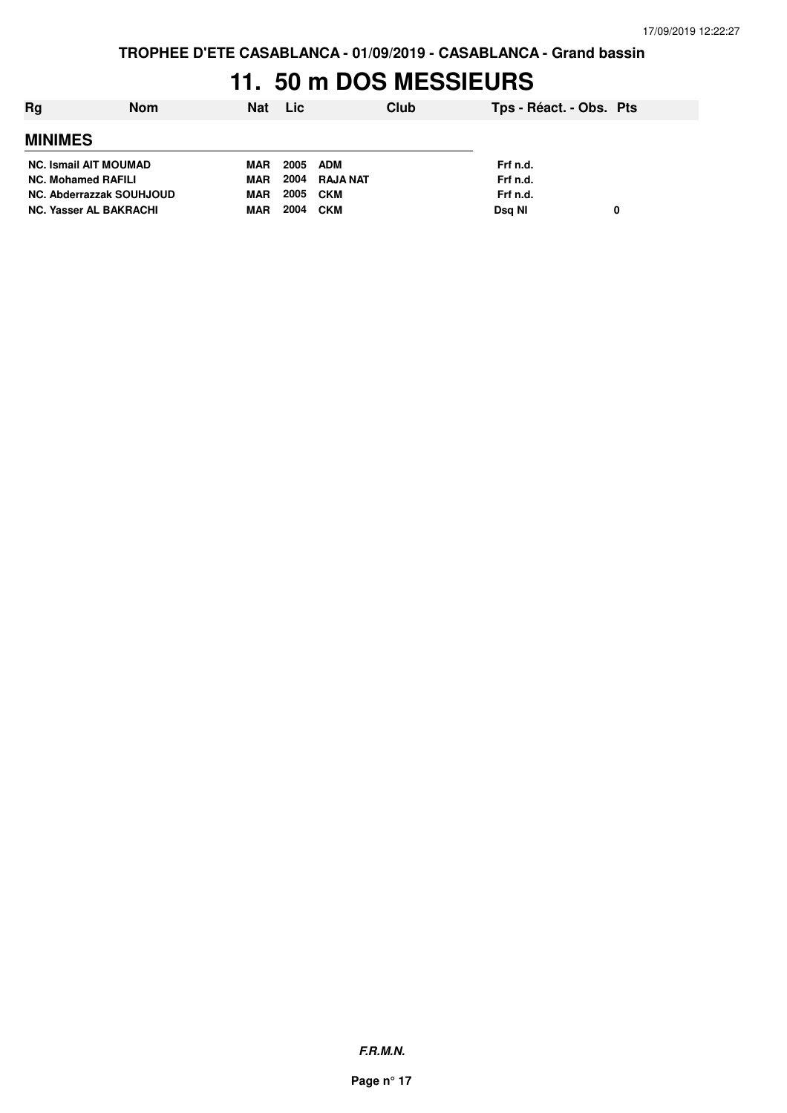**TROPHEE D'ETE CASABLANCA - 01/09/2019 - CASABLANCA - Grand bassin**

## **11. 50 m DOS MESSIEURS**

| Ra                            | <b>Nom</b> | Nat        | <b>Lic</b> |            | Club | Tps - Réact. - Obs. Pts |   |
|-------------------------------|------------|------------|------------|------------|------|-------------------------|---|
| <b>MINIMES</b>                |            |            |            |            |      |                         |   |
| <b>NC. Ismail AIT MOUMAD</b>  |            | MAR        | 2005       | ADM        |      | Frf n.d.                |   |
| <b>NC. Mohamed RAFILI</b>     |            | MAR.       | 2004       | RAJA NAT   |      | Frf n.d.                |   |
| NC. Abderrazzak SOUHJOUD      |            | <b>MAR</b> | 2005       | CKM        |      | Frf n.d.                |   |
| <b>NC. Yasser AL BAKRACHI</b> |            | MAR        | 2004       | <b>CKM</b> |      | Dsg NI                  | 0 |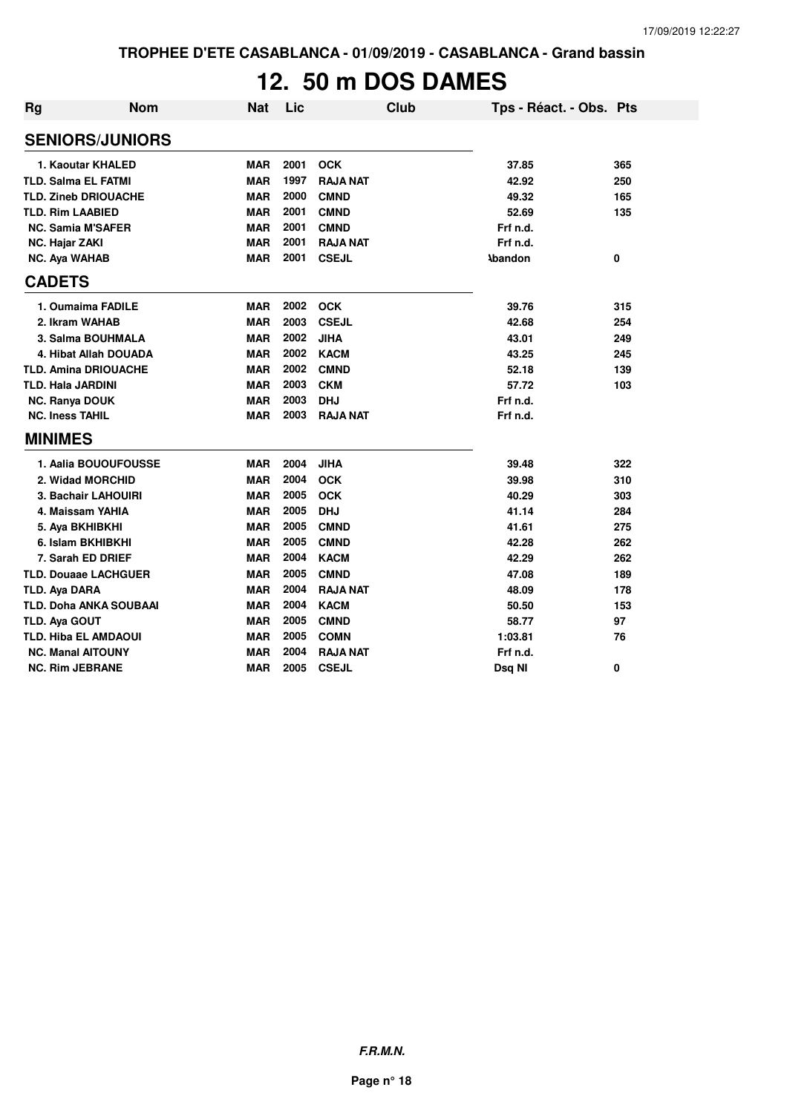# **12. 50 m DOS DAMES**

| <b>Rg</b> | <b>Nom</b>                    | <b>Nat</b> | Lic  | <b>Club</b>     | Tps - Réact. - Obs. Pts |     |
|-----------|-------------------------------|------------|------|-----------------|-------------------------|-----|
|           | <b>SENIORS/JUNIORS</b>        |            |      |                 |                         |     |
|           | 1. Kaoutar KHALED             | <b>MAR</b> | 2001 | <b>OCK</b>      | 37.85                   | 365 |
|           | <b>TLD. Salma EL FATMI</b>    | <b>MAR</b> | 1997 | <b>RAJA NAT</b> | 42.92                   | 250 |
|           | <b>TLD. Zineb DRIOUACHE</b>   | <b>MAR</b> | 2000 | <b>CMND</b>     | 49.32                   | 165 |
|           | <b>TLD. Rim LAABIED</b>       | <b>MAR</b> | 2001 | <b>CMND</b>     | 52.69                   | 135 |
|           | <b>NC. Samia M'SAFER</b>      | <b>MAR</b> | 2001 | <b>CMND</b>     | Frf n.d.                |     |
|           | <b>NC. Hajar ZAKI</b>         | <b>MAR</b> | 2001 | <b>RAJA NAT</b> | Frf n.d.                |     |
|           | <b>NC. Aya WAHAB</b>          | <b>MAR</b> | 2001 | <b>CSEJL</b>    | <b>Abandon</b>          | 0   |
|           | <b>CADETS</b>                 |            |      |                 |                         |     |
|           | 1. Oumaima FADILE             | <b>MAR</b> | 2002 | <b>OCK</b>      | 39.76                   | 315 |
|           | 2. Ikram WAHAB                | <b>MAR</b> | 2003 | <b>CSEJL</b>    | 42.68                   | 254 |
|           | 3. Salma BOUHMALA             | <b>MAR</b> | 2002 | <b>JIHA</b>     | 43.01                   | 249 |
|           | 4. Hibat Allah DOUADA         | <b>MAR</b> | 2002 | <b>KACM</b>     | 43.25                   | 245 |
|           | <b>TLD. Amina DRIOUACHE</b>   | <b>MAR</b> | 2002 | <b>CMND</b>     | 52.18                   | 139 |
|           | TLD. Hala JARDINI             | <b>MAR</b> | 2003 | <b>CKM</b>      | 57.72                   | 103 |
|           | <b>NC. Ranya DOUK</b>         | <b>MAR</b> | 2003 | <b>DHJ</b>      | Frf n.d.                |     |
|           | <b>NC. Iness TAHIL</b>        | <b>MAR</b> | 2003 | <b>RAJA NAT</b> | Frf n.d.                |     |
|           | <b>MINIMES</b>                |            |      |                 |                         |     |
|           | 1. Aalia BOUOUFOUSSE          | <b>MAR</b> | 2004 | <b>JIHA</b>     | 39.48                   | 322 |
|           | 2. Widad MORCHID              | <b>MAR</b> | 2004 | <b>OCK</b>      | 39.98                   | 310 |
|           | 3. Bachair LAHOUIRI           | <b>MAR</b> | 2005 | <b>OCK</b>      | 40.29                   | 303 |
|           | 4. Maissam YAHIA              | <b>MAR</b> | 2005 | <b>DHJ</b>      | 41.14                   | 284 |
|           | 5. Aya BKHIBKHI               | <b>MAR</b> | 2005 | <b>CMND</b>     | 41.61                   | 275 |
|           | 6. Islam BKHIBKHI             | <b>MAR</b> | 2005 | <b>CMND</b>     | 42.28                   | 262 |
|           | 7. Sarah ED DRIEF             | <b>MAR</b> | 2004 | <b>KACM</b>     | 42.29                   | 262 |
|           | <b>TLD. Douaae LACHGUER</b>   | <b>MAR</b> | 2005 | <b>CMND</b>     | 47.08                   | 189 |
|           | <b>TLD. Ava DARA</b>          | <b>MAR</b> | 2004 | <b>RAJA NAT</b> | 48.09                   | 178 |
|           | <b>TLD. Doha ANKA SOUBAAI</b> | <b>MAR</b> | 2004 | <b>KACM</b>     | 50.50                   | 153 |
|           | <b>TLD. Aya GOUT</b>          | <b>MAR</b> | 2005 | <b>CMND</b>     | 58.77                   | 97  |
|           | <b>TLD. Hiba EL AMDAOUI</b>   | <b>MAR</b> | 2005 | <b>COMN</b>     | 1:03.81                 | 76  |
|           | <b>NC. Manal AITOUNY</b>      | <b>MAR</b> | 2004 | <b>RAJA NAT</b> | Frf n.d.                |     |
|           | <b>NC. Rim JEBRANE</b>        | <b>MAR</b> | 2005 | <b>CSEJL</b>    | Dsq NI                  | 0   |

**F.R.M.N.**

**Page n° 18**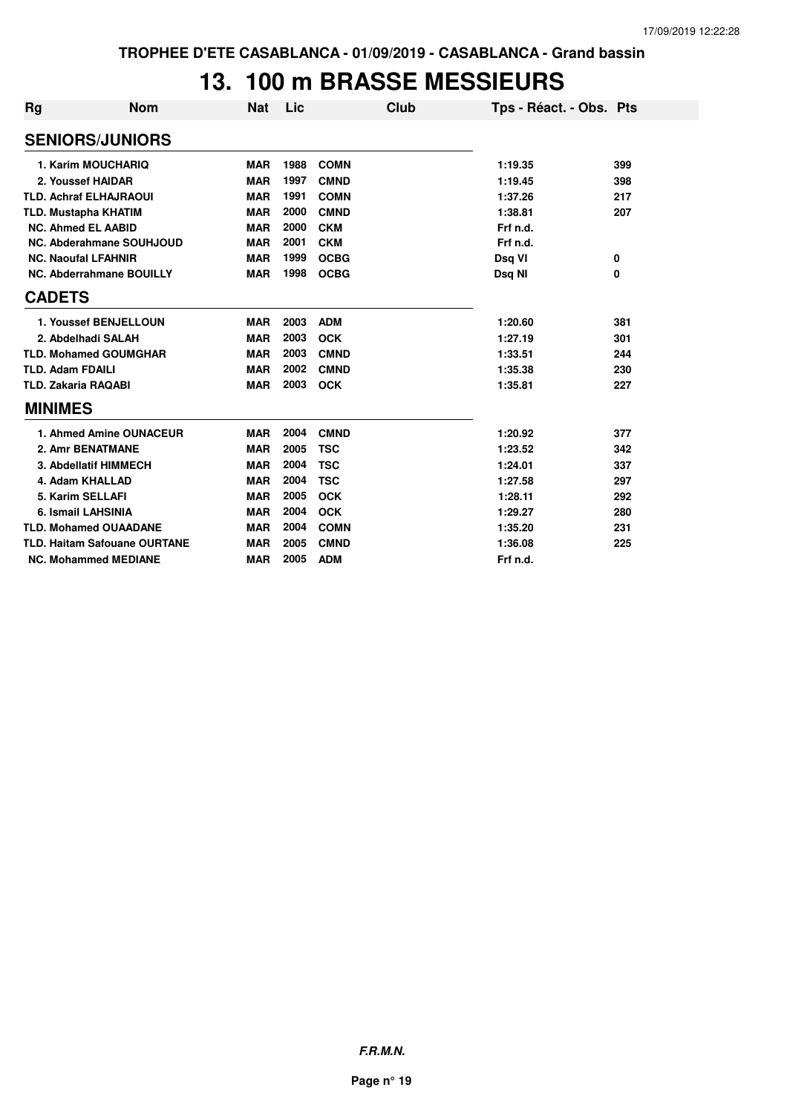### **13. 100 m BRASSE MESSIEURS**

| Rg            | Nom                                 | <b>Nat</b> | Lic  | Club        | Tps - Réact. - Obs. Pts |     |
|---------------|-------------------------------------|------------|------|-------------|-------------------------|-----|
|               | <b>SENIORS/JUNIORS</b>              |            |      |             |                         |     |
|               | 1. Karim MOUCHARIQ                  | <b>MAR</b> | 1988 | <b>COMN</b> | 1:19.35                 | 399 |
|               | 2. Youssef HAIDAR                   | <b>MAR</b> | 1997 | <b>CMND</b> | 1:19.45                 | 398 |
|               | <b>TLD. Achraf ELHAJRAOUI</b>       | <b>MAR</b> | 1991 | <b>COMN</b> | 1:37.26                 | 217 |
|               | <b>TLD. Mustapha KHATIM</b>         | <b>MAR</b> | 2000 | <b>CMND</b> | 1:38.81                 | 207 |
|               | <b>NC. Ahmed EL AABID</b>           | <b>MAR</b> | 2000 | <b>CKM</b>  | Frf n.d.                |     |
|               | NC. Abderahmane SOUHJOUD            | <b>MAR</b> | 2001 | <b>CKM</b>  | Frf n.d.                |     |
|               | <b>NC. Naoufal LFAHNIR</b>          | <b>MAR</b> | 1999 | <b>OCBG</b> | Dsq VI                  | 0   |
|               | <b>NC. Abderrahmane BOUILLY</b>     | <b>MAR</b> | 1998 | <b>OCBG</b> | Dsq NI                  | 0   |
| <b>CADETS</b> |                                     |            |      |             |                         |     |
|               | 1. Youssef BENJELLOUN               | <b>MAR</b> | 2003 | <b>ADM</b>  | 1:20.60                 | 381 |
|               | 2. Abdelhadi SALAH                  | <b>MAR</b> | 2003 | <b>OCK</b>  | 1:27.19                 | 301 |
|               | <b>TLD. Mohamed GOUMGHAR</b>        | <b>MAR</b> | 2003 | <b>CMND</b> | 1:33.51                 | 244 |
|               | <b>TLD. Adam FDAILI</b>             | <b>MAR</b> | 2002 | <b>CMND</b> | 1:35.38                 | 230 |
|               | <b>TLD. Zakaria RAQABI</b>          | <b>MAR</b> | 2003 | <b>OCK</b>  | 1:35.81                 | 227 |
|               | <b>MINIMES</b>                      |            |      |             |                         |     |
|               | 1. Ahmed Amine OUNACEUR             | <b>MAR</b> | 2004 | <b>CMND</b> | 1:20.92                 | 377 |
|               | 2. Amr BENATMANE                    | <b>MAR</b> | 2005 | <b>TSC</b>  | 1:23.52                 | 342 |
|               | 3. Abdellatif HIMMECH               | <b>MAR</b> | 2004 | <b>TSC</b>  | 1:24.01                 | 337 |
|               | 4. Adam KHALLAD                     | <b>MAR</b> | 2004 | <b>TSC</b>  | 1:27.58                 | 297 |
|               | 5. Karim SELLAFI                    | <b>MAR</b> | 2005 | <b>OCK</b>  | 1:28.11                 | 292 |
|               | 6. Ismail LAHSINIA                  | <b>MAR</b> | 2004 | <b>OCK</b>  | 1:29.27                 | 280 |
|               | <b>TLD. Mohamed OUAADANE</b>        | <b>MAR</b> | 2004 | <b>COMN</b> | 1:35.20                 | 231 |
|               | <b>TLD. Haitam Safouane OURTANE</b> | <b>MAR</b> | 2005 | <b>CMND</b> | 1:36.08                 | 225 |
|               | <b>NC. Mohammed MEDIANE</b>         | <b>MAR</b> | 2005 | <b>ADM</b>  | Frf n.d.                |     |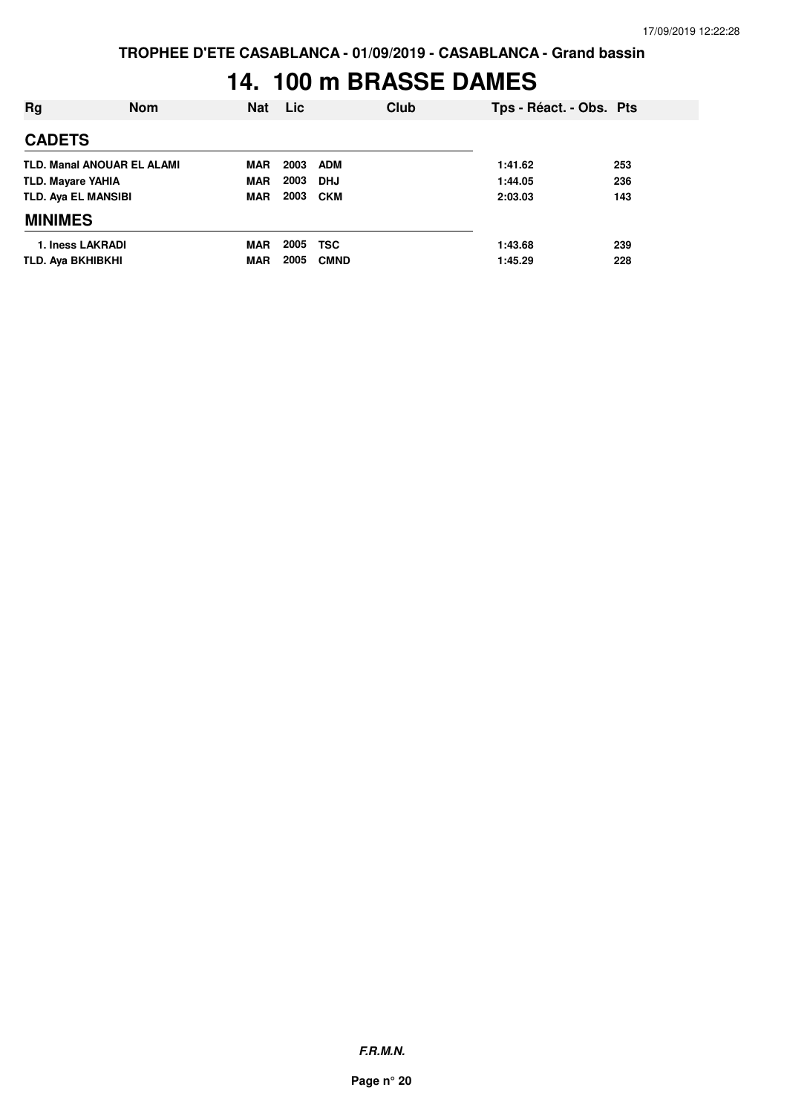# **14. 100 m BRASSE DAMES**

| Rg                                | <b>Nom</b> | <b>Nat</b> | <b>Lic</b> | Club        | Tps - Réact. - Obs. Pts |     |
|-----------------------------------|------------|------------|------------|-------------|-------------------------|-----|
| <b>CADETS</b>                     |            |            |            |             |                         |     |
| <b>TLD. Manal ANOUAR EL ALAMI</b> |            | <b>MAR</b> | 2003       | <b>ADM</b>  | 1:41.62                 | 253 |
| <b>TLD. Mayare YAHIA</b>          |            | MAR        | 2003       | <b>DHJ</b>  | 1:44.05                 | 236 |
| <b>TLD. Aya EL MANSIBI</b>        |            | <b>MAR</b> | 2003       | <b>CKM</b>  | 2:03.03                 | 143 |
| <b>MINIMES</b>                    |            |            |            |             |                         |     |
| 1. Iness LAKRADI                  |            | <b>MAR</b> | 2005       | <b>TSC</b>  | 1:43.68                 | 239 |
| TLD. Aya BKHIBKHI                 |            | <b>MAR</b> | 2005       | <b>CMND</b> | 1:45.29                 | 228 |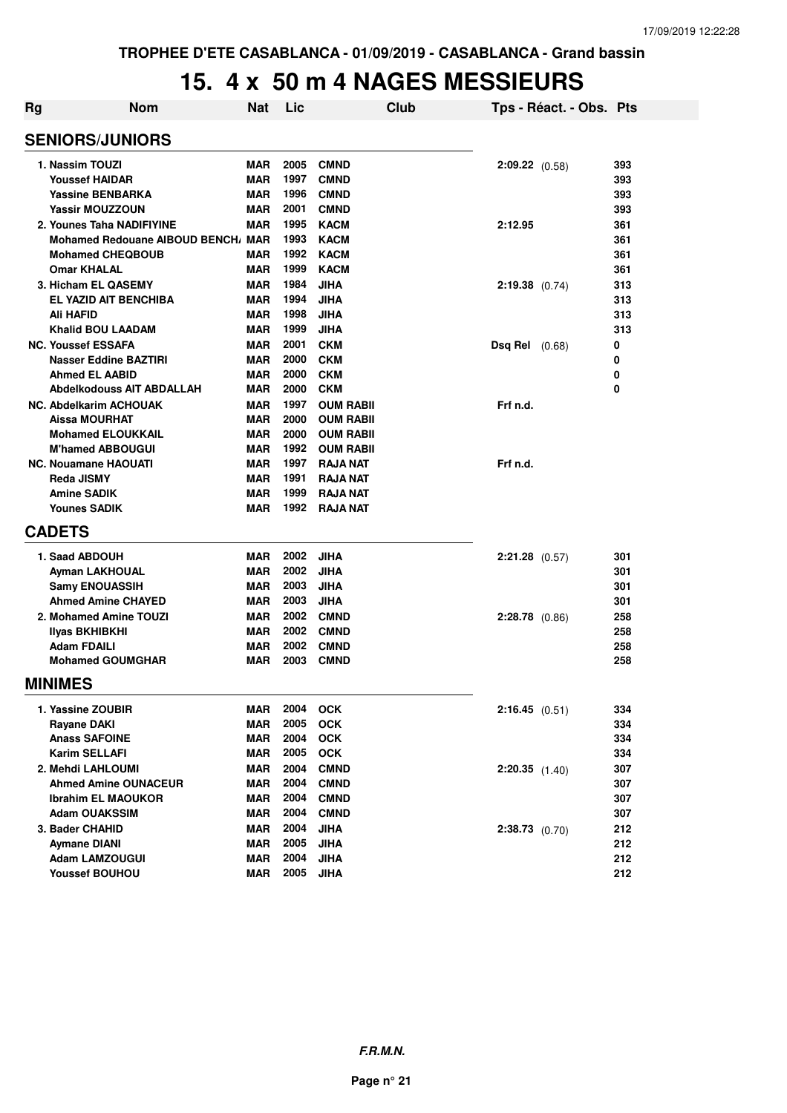#### **15. 4 x 50 m 4 NAGES MESSIEURS**

| <b>Rg</b> | <b>Nom</b>                         | <b>Nat</b> | Lic  | Club             |                       | Tps - Réact. - Obs. Pts |     |
|-----------|------------------------------------|------------|------|------------------|-----------------------|-------------------------|-----|
|           | <b>SENIORS/JUNIORS</b>             |            |      |                  |                       |                         |     |
|           | 1. Nassim TOUZI                    | <b>MAR</b> | 2005 | <b>CMND</b>      | $2:09.22$ (0.58)      |                         | 393 |
|           | <b>Youssef HAIDAR</b>              | <b>MAR</b> | 1997 | <b>CMND</b>      |                       |                         | 393 |
|           | <b>Yassine BENBARKA</b>            | <b>MAR</b> | 1996 | <b>CMND</b>      |                       |                         | 393 |
|           | <b>Yassir MOUZZOUN</b>             | <b>MAR</b> | 2001 | <b>CMND</b>      |                       |                         | 393 |
|           | 2. Younes Taha NADIFIYINE          | <b>MAR</b> | 1995 | <b>KACM</b>      | 2:12.95               |                         | 361 |
|           | Mohamed Redouane AIBOUD BENCH, MAR |            | 1993 | <b>KACM</b>      |                       |                         | 361 |
|           | <b>Mohamed CHEQBOUB</b>            | <b>MAR</b> | 1992 | <b>KACM</b>      |                       |                         | 361 |
|           | <b>Omar KHALAL</b>                 | <b>MAR</b> | 1999 | <b>KACM</b>      |                       |                         | 361 |
|           | 3. Hicham EL QASEMY                | <b>MAR</b> | 1984 | <b>JIHA</b>      | $2:19.38$ (0.74)      |                         | 313 |
|           | EL YAZID AIT BENCHIBA              | MAR        | 1994 | <b>JIHA</b>      |                       |                         | 313 |
|           | Ali HAFID                          | <b>MAR</b> | 1998 | <b>JIHA</b>      |                       |                         | 313 |
|           | <b>Khalid BOU LAADAM</b>           | <b>MAR</b> | 1999 | <b>JIHA</b>      |                       |                         | 313 |
|           | <b>NC. Youssef ESSAFA</b>          | <b>MAR</b> | 2001 | <b>CKM</b>       | <b>Dsq Rel</b> (0.68) |                         | 0   |
|           | Nasser Eddine BAZTIRI              | <b>MAR</b> | 2000 | <b>CKM</b>       |                       |                         | 0   |
|           | <b>Ahmed EL AABID</b>              | <b>MAR</b> | 2000 | <b>CKM</b>       |                       |                         | 0   |
|           | <b>Abdelkodouss AIT ABDALLAH</b>   | <b>MAR</b> | 2000 | <b>CKM</b>       |                       |                         | 0   |
|           | <b>NC. Abdelkarim ACHOUAK</b>      | <b>MAR</b> | 1997 | <b>OUM RABII</b> | Frf n.d.              |                         |     |
|           | <b>Aissa MOURHAT</b>               | <b>MAR</b> | 2000 | <b>OUM RABII</b> |                       |                         |     |
|           | <b>Mohamed ELOUKKAIL</b>           | <b>MAR</b> | 2000 | <b>OUM RABII</b> |                       |                         |     |
|           | <b>M'hamed ABBOUGUI</b>            | <b>MAR</b> | 1992 | <b>OUM RABII</b> |                       |                         |     |
|           | <b>NC. Nouamane HAOUATI</b>        | <b>MAR</b> | 1997 | <b>RAJA NAT</b>  | Frf n.d.              |                         |     |
|           | <b>Reda JISMY</b>                  | MAR        | 1991 | <b>RAJA NAT</b>  |                       |                         |     |
|           | <b>Amine SADIK</b>                 | <b>MAR</b> | 1999 | <b>RAJA NAT</b>  |                       |                         |     |
|           | <b>Younes SADIK</b>                | MAR        | 1992 | <b>RAJA NAT</b>  |                       |                         |     |
|           | <b>CADETS</b>                      |            |      |                  |                       |                         |     |
|           | 1. Saad ABDOUH                     | <b>MAR</b> | 2002 | <b>JIHA</b>      | $2:21.28$ (0.57)      |                         | 301 |
|           | <b>Ayman LAKHOUAL</b>              | <b>MAR</b> | 2002 | <b>JIHA</b>      |                       |                         | 301 |
|           | <b>Samy ENOUASSIH</b>              | <b>MAR</b> | 2003 | <b>JIHA</b>      |                       |                         | 301 |
|           | <b>Ahmed Amine CHAYED</b>          | MAR        | 2003 | <b>JIHA</b>      |                       |                         | 301 |
|           | 2. Mohamed Amine TOUZI             | <b>MAR</b> | 2002 | <b>CMND</b>      | $2:28.78$ (0.86)      |                         | 258 |
|           | Ilyas BKHIBKHI                     | MAR        | 2002 | <b>CMND</b>      |                       |                         | 258 |
|           | <b>Adam FDAILI</b>                 | <b>MAR</b> | 2002 | <b>CMND</b>      |                       |                         | 258 |
|           | <b>Mohamed GOUMGHAR</b>            | <b>MAR</b> | 2003 | <b>CMND</b>      |                       |                         | 258 |
|           | <b>MINIMES</b>                     |            |      |                  |                       |                         |     |
|           | 1. Yassine ZOUBIR                  | MAR        | 2004 | <b>OCK</b>       | 2:16.45(0.51)         |                         | 334 |
|           | <b>Rayane DAKI</b>                 | <b>MAR</b> | 2005 | <b>OCK</b>       |                       |                         | 334 |
|           | <b>Anass SAFOINE</b>               | MAR        | 2004 | <b>OCK</b>       |                       |                         | 334 |
|           | <b>Karim SELLAFI</b>               | <b>MAR</b> | 2005 | OCK              |                       |                         | 334 |
|           | 2. Mehdi LAHLOUMI                  | <b>MAR</b> | 2004 | <b>CMND</b>      | $2:20.35$ $(1.40)$    |                         | 307 |
|           | <b>Ahmed Amine OUNACEUR</b>        | <b>MAR</b> | 2004 | <b>CMND</b>      |                       |                         | 307 |
|           | <b>Ibrahim EL MAOUKOR</b>          | <b>MAR</b> | 2004 | <b>CMND</b>      |                       |                         | 307 |
|           | <b>Adam OUAKSSIM</b>               | <b>MAR</b> | 2004 | <b>CMND</b>      |                       |                         | 307 |
|           | 3. Bader CHAHID                    | <b>MAR</b> | 2004 | <b>JIHA</b>      | $2:38.73$ (0.70)      |                         | 212 |
|           | <b>Aymane DIANI</b>                | MAR        | 2005 | <b>JIHA</b>      |                       |                         | 212 |
|           | <b>Adam LAMZOUGUI</b>              | MAR        | 2004 | <b>JIHA</b>      |                       |                         | 212 |
|           | <b>Youssef BOUHOU</b>              | MAR        | 2005 | <b>JIHA</b>      |                       |                         | 212 |